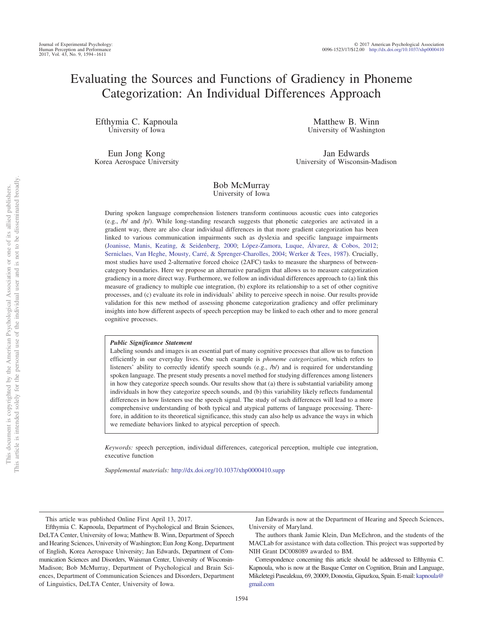# Evaluating the Sources and Functions of Gradiency in Phoneme Categorization: An Individual Differences Approach

Efthymia C. Kapnoula University of Iowa

Eun Jong Kong Korea Aerospace University

Matthew B. Winn University of Washington

Jan Edwards University of Wisconsin-Madison

# Bob McMurray University of Iowa

During spoken language comprehension listeners transform continuous acoustic cues into categories (e.g., /b/ and /p/). While long-standing research suggests that phonetic categories are activated in a gradient way, there are also clear individual differences in that more gradient categorization has been linked to various communication impairments such as dyslexia and specific language impairments [\(Joanisse, Manis, Keating, & Seidenberg, 2000;](#page-16-0) [López-Zamora, Luque, Álvarez, & Cobos, 2012;](#page-16-1) [Serniclaes, Van Heghe, Mousty, Carré, & Sprenger-Charolles, 2004;](#page-17-0) [Werker & Tees, 1987\)](#page-17-1). Crucially, most studies have used 2-alternative forced choice (2AFC) tasks to measure the sharpness of betweencategory boundaries. Here we propose an alternative paradigm that allows us to measure categorization gradiency in a more direct way. Furthermore, we follow an individual differences approach to (a) link this measure of gradiency to multiple cue integration, (b) explore its relationship to a set of other cognitive processes, and (c) evaluate its role in individuals' ability to perceive speech in noise. Our results provide validation for this new method of assessing phoneme categorization gradiency and offer preliminary insights into how different aspects of speech perception may be linked to each other and to more general cognitive processes.

# *Public Significance Statement*

Labeling sounds and images is an essential part of many cognitive processes that allow us to function efficiently in our everyday lives. One such example is *phoneme categorization*, which refers to listeners' ability to correctly identify speech sounds (e.g., /b/) and is required for understanding spoken language. The present study presents a novel method for studying differences among listeners in how they categorize speech sounds. Our results show that (a) there is substantial variability among individuals in how they categorize speech sounds, and (b) this variability likely reflects fundamental differences in how listeners use the speech signal. The study of such differences will lead to a more comprehensive understanding of both typical and atypical patterns of language processing. Therefore, in addition to its theoretical significance, this study can also help us advance the ways in which we remediate behaviors linked to atypical perception of speech.

*Keywords:* speech perception, individual differences, categorical perception, multiple cue integration, executive function

*Supplemental materials:* http://dx.doi.org/10.1037/xhp0000410.supp

This article was published Online First April 13, 2017.

Efthymia C. Kapnoula, Department of Psychological and Brain Sciences, DeLTA Center, University of Iowa; Matthew B. Winn, Department of Speech and Hearing Sciences, University of Washington; Eun Jong Kong, Department of English, Korea Aerospace University; Jan Edwards, Department of Communication Sciences and Disorders, Waisman Center, University of Wisconsin-Madison; Bob McMurray, Department of Psychological and Brain Sciences, Department of Communication Sciences and Disorders, Department of Linguistics, DeLTA Center, University of Iowa.

Jan Edwards is now at the Department of Hearing and Speech Sciences, University of Maryland.

The authors thank Jamie Klein, Dan McEchron, and the students of the MACLab for assistance with data collection. This project was supported by NIH Grant DC008089 awarded to BM.

Correspondence concerning this article should be addressed to Efthymia C. Kapnoula, who is now at the Basque Center on Cognition, Brain and Language, Mikeletegi Pasealekua, 69, 20009, Donostia, Gipuzkoa, Spain. E-mail: [kapnoula@](mailto:kapnoula@gmail.com) [gmail.com](mailto:kapnoula@gmail.com)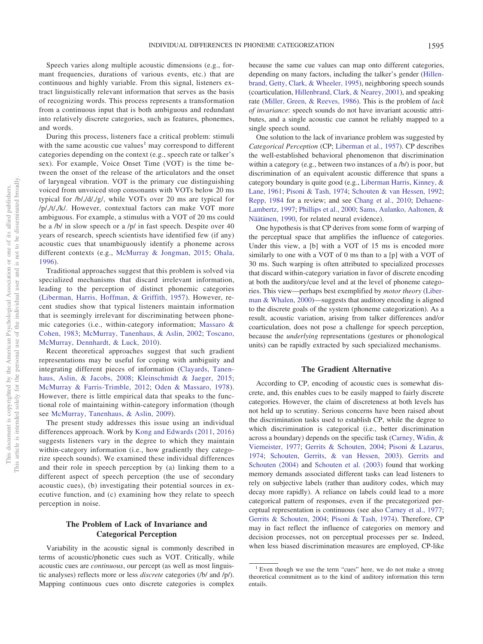Speech varies along multiple acoustic dimensions (e.g., formant frequencies, durations of various events, etc.) that are continuous and highly variable. From this signal, listeners extract linguistically relevant information that serves as the basis of recognizing words. This process represents a transformation from a continuous input that is both ambiguous and redundant into relatively discrete categories, such as features, phonemes, and words.

During this process, listeners face a critical problem: stimuli with the same acoustic cue values<sup>1</sup> may correspond to different categories depending on the context (e.g., speech rate or talker's sex). For example, Voice Onset Time (VOT) is the time between the onset of the release of the articulators and the onset of laryngeal vibration. VOT is the primary cue distinguishing voiced from unvoiced stop consonants with VOTs below 20 ms typical for /b/,/d/,/g/, while VOTs over 20 ms are typical for /p/,/t/,/k/. However, contextual factors can make VOT more ambiguous. For example, a stimulus with a VOT of 20 ms could be a /b/ in slow speech or a /p/ in fast speech. Despite over 40 years of research, speech scientists have identified few (if any) acoustic cues that unambiguously identify a phoneme across different contexts (e.g., [McMurray & Jongman, 2015;](#page-16-2) [Ohala,](#page-16-3) [1996\)](#page-16-3).

Traditional approaches suggest that this problem is solved via specialized mechanisms that discard irrelevant information, leading to the perception of distinct phonemic categories [\(Liberman, Harris, Hoffman, & Griffith, 1957\)](#page-16-4). However, recent studies show that typical listeners maintain information that is seemingly irrelevant for discriminating between phonemic categories (i.e., within-category information; [Massaro &](#page-16-5) [Cohen, 1983;](#page-16-5) [McMurray, Tanenhaus, & Aslin, 2002;](#page-16-6) [Toscano,](#page-17-2) [McMurray, Dennhardt, & Luck, 2010\)](#page-17-2).

Recent theoretical approaches suggest that such gradient representations may be useful for coping with ambiguity and integrating different pieces of information [\(Clayards, Tanen](#page-15-0)[haus, Aslin, & Jacobs, 2008;](#page-15-0) [Kleinschmidt & Jaeger, 2015;](#page-16-7) [McMurray & Farris-Trimble, 2012;](#page-16-8) [Oden & Massaro, 1978\)](#page-16-9). However, there is little empirical data that speaks to the functional role of maintaining within-category information (though see [McMurray, Tanenhaus, & Aslin, 2009\)](#page-16-10).

The present study addresses this issue using an individual differences approach. Work by [Kong and Edwards \(2011,](#page-16-11) [2016\)](#page-16-12) suggests listeners vary in the degree to which they maintain within-category information (i.e., how gradiently they categorize speech sounds). We examined these individual differences and their role in speech perception by (a) linking them to a different aspect of speech perception (the use of secondary acoustic cues), (b) investigating their potential sources in executive function, and (c) examining how they relate to speech perception in noise.

# **The Problem of Lack of Invariance and Categorical Perception**

Variability in the acoustic signal is commonly described in terms of acoustic/phonetic cues such as VOT. Critically, while acoustic cues are *continuous*, our percept (as well as most linguistic analyses) reflects more or less *discrete* categories (/b/ and /p/). Mapping continuous cues onto discrete categories is complex

because the same cue values can map onto different categories, depending on many factors, including the talker's gender [\(Hillen](#page-16-13)[brand, Getty, Clark, & Wheeler, 1995\)](#page-16-13), neighboring speech sounds (coarticulation, [Hillenbrand, Clark, & Nearey, 2001\)](#page-15-1), and speaking rate [\(Miller, Green, & Reeves, 1986\)](#page-16-14). This is the problem of *lack of invariance*: speech sounds do not have invariant acoustic attributes, and a single acoustic cue cannot be reliably mapped to a single speech sound.

One solution to the lack of invariance problem was suggested by *Categorical Perception* (CP; [Liberman et al., 1957\)](#page-16-4). CP describes the well-established behavioral phenomenon that discrimination within a category (e.g., between two instances of a /b/) is poor, but discrimination of an equivalent acoustic difference that spans a category boundary is quite good (e.g., [Liberman Harris, Kinney, &](#page-16-15) [Lane, 1961;](#page-16-15) [Pisoni & Tash, 1974;](#page-16-16) [Schouten & van Hessen, 1992;](#page-17-3) [Repp, 1984](#page-17-4) for a review; and see [Chang et al., 2010;](#page-15-2) [Dehaene-](#page-15-3)[Lambertz, 1997;](#page-15-3) [Phillips et al., 2000;](#page-16-17) [Sams, Aulanko, Aaltonen, &](#page-17-5) [Näätänen, 1990,](#page-17-5) for related neural evidence).

One hypothesis is that CP derives from some form of warping of the perceptual space that amplifies the influence of categories. Under this view, a [b] with a VOT of 15 ms is encoded more similarly to one with a VOT of 0 ms than to a [p] with a VOT of 30 ms. Such warping is often attributed to specialized processes that discard within-category variation in favor of discrete encoding at both the auditory/cue level and at the level of phoneme categories. This view—perhaps best exemplified by *motor theory* [\(Liber](#page-16-18)[man & Whalen, 2000\)](#page-16-18)—suggests that auditory encoding is aligned to the discrete goals of the system (phoneme categorization). As a result, acoustic variation, arising from talker differences and/or coarticulation, does not pose a challenge for speech perception, because the *underlying* representations (gestures or phonological units) can be rapidly extracted by such specialized mechanisms.

## **The Gradient Alternative**

According to CP, encoding of acoustic cues is somewhat discrete, and, this enables cues to be easily mapped to fairly discrete categories. However, the claim of discreteness at both levels has not held up to scrutiny. Serious concerns have been raised about the discrimination tasks used to establish CP, while the degree to which discrimination is categorical (i.e., better discrimination across a boundary) depends on the specific task [\(Carney, Widin, &](#page-15-4) [Viemeister, 1977;](#page-15-4) [Gerrits & Schouten, 2004;](#page-15-5) [Pisoni & Lazarus,](#page-16-19) [1974;](#page-16-19) [Schouten, Gerrits, & van Hessen, 2003\)](#page-17-6). [Gerrits and](#page-15-5) [Schouten \(2004\)](#page-15-5) and [Schouten et al. \(2003\)](#page-17-6) found that working memory demands associated different tasks can lead listeners to rely on subjective labels (rather than auditory codes, which may decay more rapidly). A reliance on labels could lead to a more categorical pattern of responses, even if the precategorized perceptual representation is continuous (see also [Carney et al., 1977;](#page-15-4) [Gerrits & Schouten, 2004;](#page-15-5) [Pisoni & Tash, 1974\)](#page-16-16). Therefore, CP may in fact reflect the influence of categories on memory and decision processes, not on perceptual processes per se. Indeed, when less biased discrimination measures are employed, CP-like

<sup>&</sup>lt;sup>1</sup> Even though we use the term "cues" here, we do not make a strong theoretical commitment as to the kind of auditory information this term entails.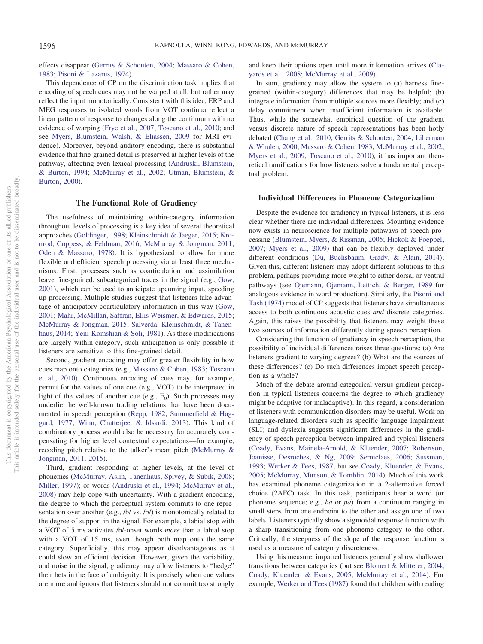effects disappear [\(Gerrits & Schouten, 2004;](#page-15-5) [Massaro & Cohen,](#page-16-5) [1983;](#page-16-5) [Pisoni & Lazarus, 1974\)](#page-16-19).

This dependence of CP on the discrimination task implies that encoding of speech cues may not be warped at all, but rather may reflect the input monotonically. Consistent with this idea, ERP and MEG responses to isolated words from VOT continua reflect a linear pattern of response to changes along the continuum with no evidence of warping [\(Frye et al., 2007;](#page-15-6) [Toscano et al., 2010;](#page-17-2) and see [Myers, Blumstein, Walsh, & Eliassen, 2009](#page-16-20) for MRI evidence). Moreover, beyond auditory encoding, there is substantial evidence that fine-grained detail is preserved at higher levels of the pathway, affecting even lexical processing [\(Andruski, Blumstein,](#page-15-7) [& Burton, 1994;](#page-15-7) [McMurray et al., 2002;](#page-16-6) [Utman, Blumstein, &](#page-17-7) [Burton, 2000\)](#page-17-7).

# **The Functional Role of Gradiency**

The usefulness of maintaining within-category information throughout levels of processing is a key idea of several theoretical approaches [\(Goldinger, 1998;](#page-15-8) [Kleinschmidt & Jaeger, 2015;](#page-16-7) [Kro](#page-16-21)[nrod, Coppess, & Feldman, 2016;](#page-16-21) [McMurray & Jongman, 2011;](#page-16-22) [Oden & Massaro, 1978\)](#page-16-9). It is hypothesized to allow for more flexible and efficient speech processing via at least three mechanisms. First, processes such as coarticulation and assimilation leave fine-grained, subcategorical traces in the signal (e.g., [Gow,](#page-15-9) [2001\)](#page-15-9), which can be used to anticipate upcoming input, speeding up processing. Multiple studies suggest that listeners take advantage of anticipatory coarticulatory information in this way [\(Gow,](#page-15-9) [2001;](#page-15-9) [Mahr, McMillan, Saffran, Ellis Weismer, & Edwards, 2015;](#page-16-23) [McMurray & Jongman, 2015;](#page-16-2) [Salverda, Kleinschmidt, & Tanen](#page-17-8)[haus, 2014;](#page-17-8) [Yeni-Komshian & Soli, 1981\)](#page-17-9). As these modifications are largely within-category, such anticipation is only possible if listeners are sensitive to this fine-grained detail.

Second, gradient encoding may offer greater flexibility in how cues map onto categories (e.g., [Massaro & Cohen, 1983;](#page-16-5) [Toscano](#page-17-2) [et al., 2010\)](#page-17-2). Continuous encoding of cues may, for example, permit for the values of one cue (e.g., VOT) to be interpreted in light of the values of another cue (e.g.,  $F_0$ ). Such processes may underlie the well-known trading relations that have been documented in speech perception [\(Repp, 1982;](#page-17-10) [Summerfield & Hag](#page-17-11)[gard, 1977;](#page-17-11) [Winn, Chatterjee, & Idsardi, 2013\)](#page-17-12). This kind of combinatory process would also be necessary for accurately compensating for higher level contextual expectations—for example, recoding pitch relative to the talker's mean pitch [\(McMurray &](#page-16-22) [Jongman, 2011,](#page-16-22) [2015\)](#page-16-2).

Third, gradient responding at higher levels, at the level of phonemes [\(McMurray, Aslin, Tanenhaus, Spivey, & Subik, 2008;](#page-16-24) [Miller, 1997\)](#page-16-25); or words [\(Andruski et al., 1994;](#page-15-7) [McMurray et al.,](#page-16-24) [2008\)](#page-16-24) may help cope with uncertainty. With a gradient encoding, the degree to which the perceptual system commits to one representation over another (e.g., /b/ vs. /p/) is monotonically related to the degree of support in the signal. For example, a labial stop with a VOT of 5 ms activates /b/-onset words *more* than a labial stop with a VOT of 15 ms, even though both map onto the same category. Superficially, this may appear disadvantageous as it could slow an efficient decision. However, given the variability, and noise in the signal, gradiency may allow listeners to "hedge" their bets in the face of ambiguity. It is precisely when cue values are more ambiguous that listeners should not commit too strongly

and keep their options open until more information arrives [\(Cla](#page-15-0)[yards et al., 2008;](#page-15-0) [McMurray et al., 2009\)](#page-16-10).

In sum, gradiency may allow the system to (a) harness finegrained (within-category) differences that may be helpful; (b) integrate information from multiple sources more flexibly; and (c) delay commitment when insufficient information is available. Thus, while the somewhat empirical question of the gradient versus discrete nature of speech representations has been hotly debated [\(Chang et al., 2010;](#page-15-2) [Gerrits & Schouten, 2004;](#page-15-5) [Liberman](#page-16-18) [& Whalen, 2000;](#page-16-18) [Massaro & Cohen, 1983;](#page-16-5) [McMurray et al., 2002;](#page-16-6) [Myers et al., 2009;](#page-16-20) [Toscano et al., 2010\)](#page-17-2), it has important theoretical ramifications for how listeners solve a fundamental perceptual problem.

#### **Individual Differences in Phoneme Categorization**

Despite the evidence for gradiency in typical listeners, it is less clear whether there are individual differences. Mounting evidence now exists in neuroscience for multiple pathways of speech processing [\(Blumstein, Myers, & Rissman, 2005;](#page-15-10) [Hickok & Poeppel,](#page-15-11) [2007;](#page-15-11) [Myers et al., 2009\)](#page-16-20) that can be flexibly deployed under different conditions [\(Du, Buchsbaum, Grady, & Alain, 2014\)](#page-15-12). Given this, different listeners may adopt different solutions to this problem, perhaps providing more weight to either dorsal or ventral pathways (see [Ojemann, Ojemann, Lettich, & Berger, 1989](#page-16-26) for analogous evidence in word production). Similarly, the [Pisoni and](#page-16-16) [Tash \(1974\)](#page-16-16) model of CP suggests that listeners have simultaneous access to both continuous acoustic cues *and* discrete categories. Again, this raises the possibility that listeners may weight these two sources of information differently during speech perception.

Considering the function of gradiency in speech perception, the possibility of individual differences raises three questions: (a) Are listeners gradient to varying degrees? (b) What are the sources of these differences? (c) Do such differences impact speech perception as a whole?

Much of the debate around categorical versus gradient perception in typical listeners concerns the degree to which gradiency might be adaptive (or maladaptive). In this regard, a consideration of listeners with communication disorders may be useful. Work on language-related disorders such as specific language impairment (SLI) and dyslexia suggests significant differences in the gradiency of speech perception between impaired and typical listeners [\(Coady, Evans, Mainela-Arnold, & Kluender, 2007;](#page-15-13) [Robertson,](#page-17-13) [Joanisse, Desroches, & Ng, 2009;](#page-17-13) [Serniclaes, 2006;](#page-17-14) [Sussman,](#page-17-15) [1993;](#page-17-15) [Werker & Tees, 1987,](#page-17-1) but see [Coady, Kluender, & Evans,](#page-15-14) [2005;](#page-15-14) [McMurray, Munson, & Tomblin, 2014\)](#page-16-27). Much of this work has examined phoneme categorization in a 2-alternative forced choice (2AFC) task. In this task, participants hear a word (or phoneme sequence; e.g., *ba* or *pa*) from a continuum ranging in small steps from one endpoint to the other and assign one of two labels. Listeners typically show a sigmoidal response function with a sharp transitioning from one phoneme category to the other. Critically, the steepness of the slope of the response function is used as a measure of category discreteness.

Using this measure, impaired listeners generally show shallower transitions between categories (but see [Blomert & Mitterer, 2004;](#page-15-15) [Coady, Kluender, & Evans, 2005;](#page-15-14) [McMurray et al., 2014\)](#page-16-27). For example, [Werker and Tees \(1987\)](#page-17-1) found that children with reading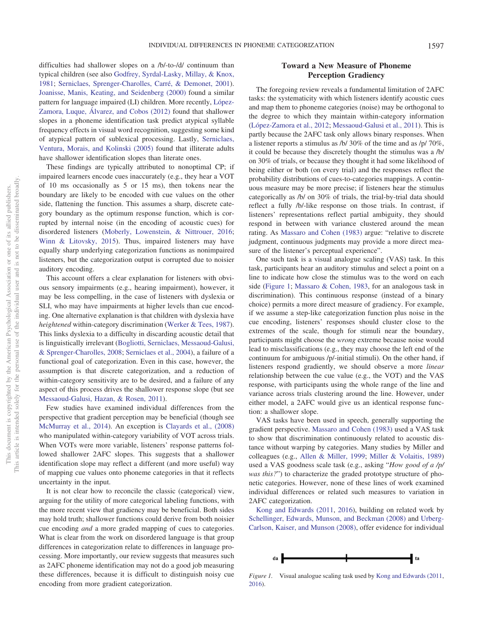difficulties had shallower slopes on a /b/-to-/d/ continuum than typical children (see also [Godfrey, Syrdal-Lasky, Millay, & Knox,](#page-15-16) [1981;](#page-15-16) [Serniclaes, Sprenger-Charolles, Carré, & Demonet, 2001\)](#page-17-16). [Joanisse, Manis, Keating, and Seidenberg \(2000\)](#page-16-0) found a similar pattern for language impaired (LI) children. More recently, [López-](#page-16-1)[Zamora, Luque, Álvarez, and Cobos \(2012\)](#page-16-1) found that shallower slopes in a phoneme identification task predict atypical syllable frequency effects in visual word recognition, suggesting some kind of atypical pattern of sublexical processing. Lastly, [Serniclaes,](#page-17-17) [Ventura, Morais, and Kolinski \(2005\)](#page-17-17) found that illiterate adults have shallower identification slopes than literate ones.

These findings are typically attributed to nonoptimal CP; if impaired learners encode cues inaccurately (e.g., they hear a VOT of 10 ms occasionally as 5 or 15 ms), then tokens near the boundary are likely to be encoded with cue values on the other side, flattening the function. This assumes a sharp, discrete category boundary as the optimum response function, which is corrupted by internal noise (in the encoding of acoustic cues) for disordered listeners [\(Moberly, Lowenstein, & Nittrouer, 2016;](#page-16-28) [Winn & Litovsky, 2015\)](#page-17-18). Thus, impaired listeners may have equally sharp underlying categorization functions as nonimpaired listeners, but the categorization output is corrupted due to noisier auditory encoding.

This account offers a clear explanation for listeners with obvious sensory impairments (e.g., hearing impairment), however, it may be less compelling, in the case of listeners with dyslexia or SLI, who may have impairments at higher levels than cue encoding. One alternative explanation is that children with dyslexia have *heightened* within-category discrimination [\(Werker & Tees, 1987\)](#page-17-1). This links dyslexia to a difficulty in discarding acoustic detail that is linguistically irrelevant [\(Bogliotti, Serniclaes, Messaoud-Galusi,](#page-15-17) [& Sprenger-Charolles, 2008;](#page-15-17) [Serniclaes et al., 2004\)](#page-17-0), a failure of a functional goal of categorization. Even in this case, however, the assumption is that discrete categorization, and a reduction of within-category sensitivity are to be desired, and a failure of any aspect of this process drives the shallower response slope (but see [Messaoud-Galusi, Hazan, & Rosen, 2011\)](#page-16-29).

Few studies have examined individual differences from the perspective that gradient perception may be beneficial (though see [McMurray et al., 2014\)](#page-16-27). An exception is [Clayards et al., \(2008\)](#page-15-0) who manipulated within-category variability of VOT across trials. When VOTs were more variable, listeners' response patterns followed shallower 2AFC slopes. This suggests that a shallower identification slope may reflect a different (and more useful) way of mapping cue values onto phoneme categories in that it reflects uncertainty in the input.

It is not clear how to reconcile the classic (categorical) view, arguing for the utility of more categorical labeling functions, with the more recent view that gradiency may be beneficial. Both sides may hold truth; shallower functions could derive from both noisier cue encoding *and* a more graded mapping of cues to categories. What is clear from the work on disordered language is that group differences in categorization relate to differences in language processing. More importantly, our review suggests that measures such as 2AFC phoneme identification may not do a good job measuring these differences, because it is difficult to distinguish noisy cue encoding from more gradient categorization.

# **Toward a New Measure of Phoneme Perception Gradiency**

The foregoing review reveals a fundamental limitation of 2AFC tasks: the systematicity with which listeners identify acoustic cues and map them to phoneme categories (noise) may be orthogonal to the degree to which they maintain within-category information [\(López-Zamora et al., 2012;](#page-16-1) [Messaoud-Galusi et al., 2011\)](#page-16-29). This is partly because the 2AFC task only allows binary responses. When a listener reports a stimulus as /b/ 30% of the time and as /p/ 70%, it could be because they discretely thought the stimulus was a /b/ on 30% of trials, or because they thought it had some likelihood of being either or both (on every trial) and the responses reflect the probability distributions of cues-to-categories mappings. A continuous measure may be more precise; if listeners hear the stimulus categorically as /b/ on 30% of trials, the trial-by-trial data should reflect a fully /b/-like response on those trials. In contrast, if listeners' representations reflect partial ambiguity, they should respond in between with variance clustered around the mean rating. As [Massaro and Cohen \(1983\)](#page-16-5) argue: "relative to discrete judgment, continuous judgments may provide a more direct measure of the listener's perceptual experience".

One such task is a visual analogue scaling (VAS) task. In this task, participants hear an auditory stimulus and select a point on a line to indicate how close the stimulus was to the word on each side [\(Figure 1;](#page-3-0) [Massaro & Cohen, 1983,](#page-16-5) for an analogous task in discrimination). This continuous response (instead of a binary choice) permits a more direct measure of gradiency. For example, if we assume a step-like categorization function plus noise in the cue encoding, listeners' responses should cluster close to the extremes of the scale, though for stimuli near the boundary, participants might choose the *wrong* extreme because noise would lead to misclassifications (e.g., they may choose the left end of the continuum for ambiguous /p/-initial stimuli). On the other hand, if listeners respond gradiently, we should observe a more *linear* relationship between the cue value (e.g., the VOT) and the VAS response, with participants using the whole range of the line and variance across trials clustering around the line. However, under either model, a 2AFC would give us an identical response function: a shallower slope.

VAS tasks have been used in speech, generally supporting the gradient perspective. [Massaro and Cohen \(1983\)](#page-16-5) used a VAS task to show that discrimination continuously related to acoustic distance without warping by categories. Many studies by Miller and colleagues (e.g., [Allen & Miller, 1999;](#page-15-18) [Miller & Volaitis, 1989\)](#page-16-30) used a VAS goodness scale task (e.g., asking "*How good of a /p/ was this?*") to characterize the graded prototype structure of phonetic categories. However, none of these lines of work examined individual differences or related such measures to variation in 2AFC categorization.

[Kong and Edwards \(2011,](#page-16-11) [2016\)](#page-16-12), building on related work by [Schellinger, Edwards, Munson, and Beckman \(2008\)](#page-17-19) and [Urberg-](#page-17-20)[Carlson, Kaiser, and Munson \(2008\),](#page-17-20) offer evidence for individual



<span id="page-3-0"></span>*Figure 1.* Visual analogue scaling task used by [Kong and Edwards \(2011,](#page-16-11) [2016\)](#page-16-12).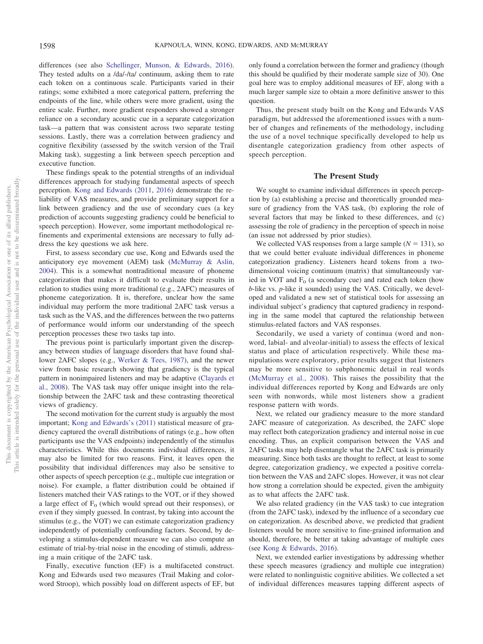differences (see also [Schellinger, Munson, & Edwards, 2016\)](#page-17-21). They tested adults on a /da/-/ta/ continuum, asking them to rate each token on a continuous scale. Participants varied in their ratings; some exhibited a more categorical pattern, preferring the endpoints of the line, while others were more gradient, using the entire scale. Further, more gradient responders showed a stronger reliance on a secondary acoustic cue in a separate categorization task—a pattern that was consistent across two separate testing sessions. Lastly, there was a correlation between gradiency and cognitive flexibility (assessed by the switch version of the Trail Making task), suggesting a link between speech perception and executive function.

These findings speak to the potential strengths of an individual differences approach for studying fundamental aspects of speech perception. [Kong and Edwards \(2011,](#page-16-11) [2016\)](#page-16-12) demonstrate the reliability of VAS measures, and provide preliminary support for a link between gradiency and the use of secondary cues (a key prediction of accounts suggesting gradiency could be beneficial to speech perception). However, some important methodological refinements and experimental extensions are necessary to fully address the key questions we ask here.

First, to assess secondary cue use, Kong and Edwards used the anticipatory eye movement (AEM) task [\(McMurray & Aslin,](#page-16-31) [2004\)](#page-16-31). This is a somewhat nontraditional measure of phoneme categorization that makes it difficult to evaluate their results in relation to studies using more traditional (e.g., 2AFC) measures of phoneme categorization. It is, therefore, unclear how the same individual may perform the more traditional 2AFC task versus a task such as the VAS, and the differences between the two patterns of performance would inform our understanding of the speech perception processes these two tasks tap into.

The previous point is particularly important given the discrepancy between studies of language disorders that have found shallower 2AFC slopes (e.g., [Werker & Tees, 1987\)](#page-17-1), and the newer view from basic research showing that gradiency is the typical pattern in nonimpaired listeners and may be adaptive [\(Clayards et](#page-15-0) [al., 2008\)](#page-15-0). The VAS task may offer unique insight into the relationship between the 2AFC task and these contrasting theoretical views of gradiency.

The second motivation for the current study is arguably the most important; [Kong and Edwards's \(2011\)](#page-16-11) statistical measure of gradiency captured the overall distributions of ratings (e.g., how often participants use the VAS endpoints) independently of the stimulus characteristics. While this documents individual differences, it may also be limited for two reasons. First, it leaves open the possibility that individual differences may also be sensitive to other aspects of speech perception (e.g., multiple cue integration or noise). For example, a flatter distribution could be obtained if listeners matched their VAS ratings to the VOT, or if they showed a large effect of  $F_0$  (which would spread out their responses), or even if they simply guessed. In contrast, by taking into account the stimulus (e.g., the VOT) we can estimate categorization gradiency independently of potentially confounding factors. Second, by developing a stimulus-dependent measure we can also compute an estimate of trial-by-trial noise in the encoding of stimuli, addressing a main critique of the 2AFC task.

Finally, executive function (EF) is a multifaceted construct. Kong and Edwards used two measures (Trail Making and colorword Stroop), which possibly load on different aspects of EF, but only found a correlation between the former and gradiency (though this should be qualified by their moderate sample size of 30). One goal here was to employ additional measures of EF, along with a much larger sample size to obtain a more definitive answer to this question.

Thus, the present study built on the Kong and Edwards VAS paradigm, but addressed the aforementioned issues with a number of changes and refinements of the methodology, including the use of a novel technique specifically developed to help us disentangle categorization gradiency from other aspects of speech perception.

## **The Present Study**

We sought to examine individual differences in speech perception by (a) establishing a precise and theoretically grounded measure of gradiency from the VAS task, (b) exploring the role of several factors that may be linked to these differences, and (c) assessing the role of gradiency in the perception of speech in noise (an issue not addressed by prior studies).

We collected VAS responses from a large sample  $(N = 131)$ , so that we could better evaluate individual differences in phoneme categorization gradiency. Listeners heard tokens from a twodimensional voicing continuum (matrix) that simultaneously varied in VOT and  $F_0$  (a secondary cue) and rated each token (how *b*-like vs. *p*-like it sounded) using the VAS. Critically, we developed and validated a new set of statistical tools for assessing an individual subject's gradiency that captured gradiency in responding in the same model that captured the relationship between stimulus-related factors and VAS responses.

Secondarily, we used a variety of continua (word and nonword, labial- and alveolar-initial) to assess the effects of lexical status and place of articulation respectively. While these manipulations were exploratory, prior results suggest that listeners may be more sensitive to subphonemic detail in real words [\(McMurray et al., 2008\)](#page-16-24). This raises the possibility that the individual differences reported by Kong and Edwards are only seen with nonwords, while most listeners show a gradient response pattern with words.

Next, we related our gradiency measure to the more standard 2AFC measure of categorization. As described, the 2AFC slope may reflect both categorization gradiency and internal noise in cue encoding. Thus, an explicit comparison between the VAS and 2AFC tasks may help disentangle what the 2AFC task is primarily measuring. Since both tasks are thought to reflect, at least to some degree, categorization gradiency, we expected a positive correlation between the VAS and 2AFC slopes. However, it was not clear how strong a correlation should be expected, given the ambiguity as to what affects the 2AFC task.

We also related gradiency (in the VAS task) to cue integration (from the 2AFC task), indexed by the influence of a secondary cue on categorization. As described above, we predicted that gradient listeners would be more sensitive to fine-grained information and should, therefore, be better at taking advantage of multiple cues (see [Kong & Edwards, 2016\)](#page-16-12).

Next, we extended earlier investigations by addressing whether these speech measures (gradiency and multiple cue integration) were related to nonlinguistic cognitive abilities. We collected a set of individual differences measures tapping different aspects of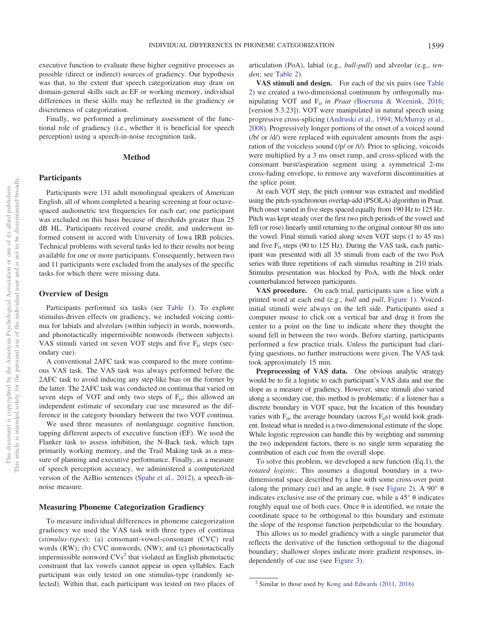executive function to evaluate these higher cognitive processes as possible (direct or indirect) sources of gradiency. Our hypothesis was that, to the extent that speech categorization may draw on domain-general skills such as EF or working memory, individual differences in these skills may be reflected in the gradiency or discreteness of categorization.

Finally, we performed a preliminary assessment of the functional role of gradiency (i.e., whether it is beneficial for speech perception) using a speech-in-noise recognition task.

# **Method**

# **Participants**

Participants were 131 adult monolingual speakers of American English, all of whom completed a hearing screening at four octavespaced audiometric test frequencies for each ear; one participant was excluded on this basis because of thresholds greater than 25 dB HL. Participants received course credit, and underwent informed consent in accord with University of Iowa IRB policies. Technical problems with several tasks led to their results not being available for one or more participants. Consequently, between two and 11 participants were excluded from the analyses of the specific tasks for which there were missing data.

# **Overview of Design**

Participants performed six tasks (see [Table 1\)](#page-6-0). To explore stimulus-driven effects on gradiency, we included voicing continua for labials and alveolars (within subject) in words, nonwords, and phonotactically impermissible nonwords (between subjects). VAS stimuli varied on seven VOT steps and five  $F_0$  steps (secondary cue).

A conventional 2AFC task was compared to the more continuous VAS task. The VAS task was always performed before the 2AFC task to avoid inducing any step-like bias on the former by the latter. The 2AFC task was conducted on continua that varied on seven steps of VOT and only two steps of  $F_0$ ; this allowed an independent estimate of secondary cue use measured as the difference in the category boundary between the two VOT continua.

We used three measures of nonlanguage cognitive function, tapping different aspects of executive function (EF). We used the Flanker task to assess inhibition, the N-Back task, which taps primarily working memory, and the Trail Making task as a measure of planning and executive performance. Finally, as a measure of speech perception accuracy, we administered a computerized version of the AzBio sentences [\(Spahr et al., 2012\)](#page-17-22), a speech-innoise measure.

# **Measuring Phoneme Categorization Gradiency**

To measure individual differences in phoneme categorization gradiency we used the VAS task with three types of continua (*stimulus-types*): (a) consonant-vowel-consonant (CVC) real words (RW); (b) CVC nonwords, (NW); and (c) phonotactically impermissible nonword  $CVs<sup>2</sup>$  that violated an English phonotactic constraint that lax vowels cannot appear in open syllables. Each participant was only tested on one stimulus-type (randomly selected). Within that, each participant was tested on two places of articulation (PoA), labial (e.g., *bull*-*pull*) and alveolar (e.g., *tenden*; see [Table 2\)](#page-6-1).

**VAS stimuli and design.** For each of the six pairs (see [Table](#page-6-1) [2\)](#page-6-1) we created a two-dimensional continuum by orthogonally manipulating VOT and F*<sup>0</sup> in Praat (*[Boersma & Weenink, 2016;](#page-15-19) [version 5.3.23]). VOT were manipulated in natural speech using progressive cross-splicing [\(Andruski et al., 1994;](#page-15-7) [McMurray et al.,](#page-16-24) [2008\)](#page-16-24). Progressively longer portions of the onset of a voiced sound (/b/ or /d/) were replaced with equivalent amounts from the aspiration of the voiceless sound (/p/ or /t/). Prior to splicing, voicoids were multiplied by a 3 ms onset ramp, and cross-spliced with the consonant burst/aspiration segment using a symmetrical 2-ms cross-fading envelope, to remove any waveform discontinuities at the splice point.

At each VOT step, the pitch contour was extracted and modified using the pitch-synchronous overlap-add (PSOLA) algorithm in Praat. Pitch onset varied in five steps spaced equally from 190 Hz to 125 Hz. Pitch was kept steady over the first two pitch periods of the vowel and fell (or rose) linearly until returning to the original contour 80 ms into the vowel. Final stimuli varied along seven VOT steps (1 to 45 ms) and five  $F_0$  steps (90 to 125 Hz). During the VAS task, each participant was presented with all 35 stimuli from each of the two PoA series with three repetitions of each stimulus resulting in 210 trials. Stimulus presentation was blocked by PoA, with the block order counterbalanced between participants.

**VAS procedure.** On each trial, participants saw a line with a printed word at each end (e.g., *bull* and *pull*, [Figure 1\)](#page-3-0). Voicedinitial stimuli were always on the left side. Participants used a computer mouse to click on a vertical bar and drag it from the center to a point on the line to indicate where they thought the sound fell in between the two words. Before starting, participants performed a few practice trials. Unless the participant had clarifying questions, no further instructions were given. The VAS task took approximately 15 min.

**Preprocessing of VAS data.** One obvious analytic strategy would be to fit a logistic to each participant's VAS data and use the slope as a measure of gradiency. However, since stimuli also varied along a secondary cue, this method is problematic; if a listener has a discrete boundary in VOT space, but the location of this boundary varies with  $F_0$ , the average boundary (across  $F_0$ s) would look gradient. Instead what is needed is a two-dimensional estimate of the slope. While logistic regression can handle this by weighting and summing the two independent factors, there is no single term separating the contribution of each cue from the overall slope.

To solve this problem, we developed a new function (Eq.1), the *rotated logistic*. This assumes a diagonal boundary in a twodimensional space described by a line with some cross-over point (along the primary cue) and an angle,  $\theta$  (see [Figure 2\)](#page-7-0). A 90°  $\theta$ indicates exclusive use of the primary cue, while a  $45^{\circ}$   $\theta$  indicates roughly equal use of both cues. Once  $\theta$  is identified, we rotate the coordinate space to be orthogonal to this boundary and estimate the slope of the response function perpendicular to the boundary.

This allows us to model gradiency with a single parameter that reflects the derivative of the function orthogonal to the diagonal boundary; shallower slopes indicate more gradient responses, independently of cue use (see [Figure 3\)](#page-8-0).

 $2$  Similar to those used by [Kong and Edwards \(2011,](#page-16-11) [2016\)](#page-16-12)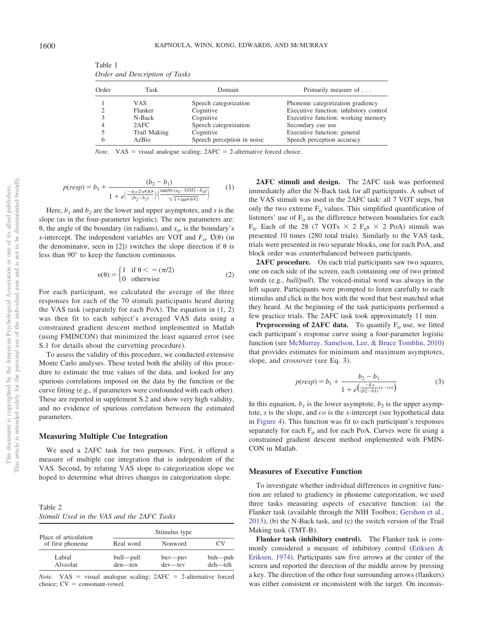| Order | Task         | Domain                     | Primarily measure of                   |
|-------|--------------|----------------------------|----------------------------------------|
|       | VAS.         | Speech categorization      | Phoneme categorization gradiency       |
|       | Flanker      | Cognitive                  | Executive function: inhibitory control |
|       | N-Back       | Cognitive                  | Executive function: working memory     |
| 4     | 2AFC         | Speech categorization      | Secondary cue use                      |
|       | Trail Making | Cognitive                  | Executive function: general            |
| 6     | AzBio        | Speech perception in noise | Speech perception accuracy             |

<span id="page-6-0"></span>Table 1 *Order and Description of Tasks*

*Note.* VAS = visual analogue scaling;  $2AFC = 2$ -alternative forced choice.

$$
p(resp) = b_1 + \frac{(b_2 - b_1)}{1 + e\left(\frac{-4 \cdot s \cdot 2 \cdot v(\Theta)}{(b_2 - b_1)}\right) \cdot \left(\frac{\tan(\Theta) \cdot (x_0 - VOT) - F_0}{\sqrt{1 + \tan(\Theta) 2}}\right)}
$$
(1)

Here,  $b_1$  and  $b_2$  are the lower and upper asymptotes, and *s* is the slope (as in the four-parameter logistic). The new parameters are:  $\theta$ , the angle of the boundary (in radians), and  $x_0$ , is the boundary's *x*-intercept. The independent variables are VOT and  $F<sub>0</sub>$ .  $\mathcal{U}(\theta)$  (in the denominator, seen in [2]) switches the slope direction if  $\theta$  is less than 90° to keep the function continuous.

$$
\upsilon(\theta) = \begin{cases} 1 & \text{if } \theta < = (\pi/2) \\ 0 & \text{otherwise} \end{cases}
$$
 (2)

For each participant, we calculated the average of the three responses for each of the 70 stimuli participants heard during the VAS task (separately for each PoA). The equation in (1, 2) was then fit to each subject's averaged VAS data using a constrained gradient descent method implemented in Matlab (using FMINCON) that minimized the least squared error (see S.1 for details about the curvetting procedure).

To assess the validity of this procedure, we conducted extensive Monte Carlo analyses. These tested both the ability of this procedure to estimate the true values of the data, and looked for any spurious correlations imposed on the data by the function or the curve fitting (e.g., if parameters were confounded with each other). These are reported in supplement S.2 and show very high validity, and no evidence of spurious correlation between the estimated parameters.

#### **Measuring Multiple Cue Integration**

We used a 2AFC task for two purposes. First, it offered a measure of multiple cue integration that is independent of the VAS. Second, by relating VAS slope to categorization slope we hoped to determine what drives changes in categorization slope.

<span id="page-6-1"></span>Table 2 *Stimuli Used in the VAS and the 2AFC Tasks*

| Place of articulation | Stimulus type           |                           |                    |  |  |
|-----------------------|-------------------------|---------------------------|--------------------|--|--|
| of first phoneme      | Real word               | Nonword                   | CV                 |  |  |
| Labial<br>Alveolar    | bull-pull<br>$den$ —ten | $buv$ --puv<br>$dev$ —tev | buh—puh<br>deh—teh |  |  |

*Note.* VAS = visual analogue scaling;  $2AFC = 2$ -alternative forced  $choice; CV = consonant-vowel.$ 

**2AFC stimuli and design.** The 2AFC task was performed immediately after the N-Back task for all participants. A subset of the VAS stimuli was used in the 2AFC task: all 7 VOT steps, but only the two extreme  $F_0$  values. This simplified quantification of listeners' use of  $F_0$  as the difference between boundaries for each  $F_0$ . Each of the 28 (7 VOTs  $\times$  2  $F_0$ s  $\times$  2 PoA) stimuli was presented 10 times (280 total trials). Similarly to the VAS task, trials were presented in two separate blocks, one for each PoA, and block order was counterbalanced between participants.

2AFC procedure. On each trial participants saw two squares, one on each side of the screen, each containing one of two printed words (e.g., *bull/pull*). The voiced-initial word was always in the left square. Participants were prompted to listen carefully to each stimulus and click in the box with the word that best matched what they heard. At the beginning of the task participants performed a few practice trials. The 2AFC task took approximately 11 min.

**Preprocessing of 2AFC data.** To quantify  $F_0$  use, we fitted each participant's response curve using a four-parameter logistic function (see [McMurray, Samelson, Lee, & Bruce Tomblin, 2010\)](#page-16-32) that provides estimates for minimum and maximum asymptotes, slope, and crossover (see Eq. 3).

$$
p(resp) = b_1 + \frac{b_2 - b_1}{1 + e(\frac{-4s}{(b2 - b1)}(x - c0))}
$$
 (3)

In this equation,  $b_1$  is the lower asymptote,  $b_2$  is the upper asymptote, *s* is the slope, and *co* is the *x*-intercept (see hypothetical data in [Figure 4\)](#page-8-1). This function was fit to each participant's responses separately for each  $F_0$  and for each PoA. Curves were fit using a constrained gradient descent method implemented with FMIN-CON in Matlab.

#### **Measures of Executive Function**

To investigate whether individual differences in cognitive function are related to gradiency in phoneme categorization, we used three tasks measuring aspects of executive function: (a) the Flanker task (available through the NIH Toolbox; [Gershon et al.,](#page-15-20) [2013\)](#page-15-20), (b) the N-Back task, and (c) the switch version of the Trail Making task (TMT-B).

**Flanker task (inhibitory control).** The Flanker task is commonly considered a measure of inhibitory control [\(Eriksen &](#page-15-21) [Eriksen, 1974\)](#page-15-21). Participants saw five arrows at the center of the screen and reported the direction of the middle arrow by pressing a key. The direction of the other four surrounding arrows (flankers) was either consistent or inconsistent with the target. On inconsis-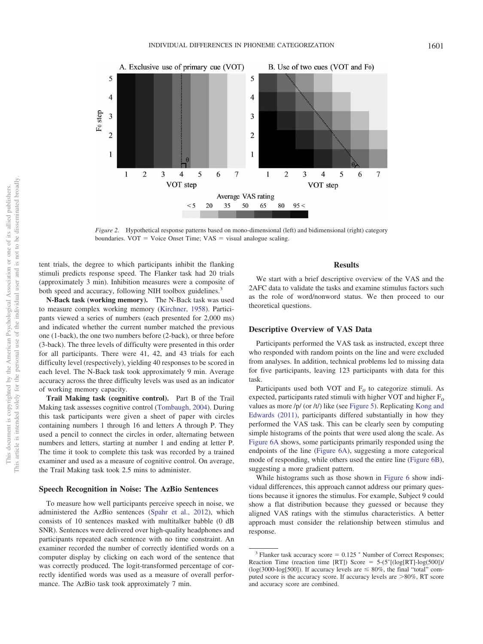

<span id="page-7-0"></span>*Figure 2.* Hypothetical response patterns based on mono-dimensional (left) and bidimensional (right) category boundaries.  $VOT = Voice Onset Time$ ;  $VAS = visual analogue scaling$ .

tent trials, the degree to which participants inhibit the flanking stimuli predicts response speed. The Flanker task had 20 trials (approximately 3 min). Inhibition measures were a composite of both speed and accuracy, following NIH toolbox guidelines.<sup>3</sup>

**N-Back task (working memory).** The N-Back task was used to measure complex working memory [\(Kirchner, 1958\)](#page-16-33). Participants viewed a series of numbers (each presented for 2,000 ms) and indicated whether the current number matched the previous one (1-back), the one two numbers before (2-back), or three before (3-back). The three levels of difficulty were presented in this order for all participants. There were 41, 42, and 43 trials for each difficulty level (respectively), yielding 40 responses to be scored in each level. The N-Back task took approximately 9 min. Average accuracy across the three difficulty levels was used as an indicator of working memory capacity.

**Trail Making task (cognitive control).** Part B of the Trail Making task assesses cognitive control [\(Tombaugh, 2004\)](#page-17-23). During this task participants were given a sheet of paper with circles containing numbers 1 through 16 and letters A through P. They used a pencil to connect the circles in order, alternating between numbers and letters, starting at number 1 and ending at letter P. The time it took to complete this task was recorded by a trained examiner and used as a measure of cognitive control. On average, the Trail Making task took 2.5 mins to administer.

# **Speech Recognition in Noise: The AzBio Sentences**

To measure how well participants perceive speech in noise, we administered the AzBio sentences [\(Spahr et al., 2012\)](#page-17-22), which consists of 10 sentences masked with multitalker babble (0 dB SNR). Sentences were delivered over high-quality headphones and participants repeated each sentence with no time constraint. An examiner recorded the number of correctly identified words on a computer display by clicking on each word of the sentence that was correctly produced. The logit-transformed percentage of correctly identified words was used as a measure of overall performance. The AzBio task took approximately 7 min.

# **Results**

We start with a brief descriptive overview of the VAS and the 2AFC data to validate the tasks and examine stimulus factors such as the role of word/nonword status. We then proceed to our theoretical questions.

## **Descriptive Overview of VAS Data**

Participants performed the VAS task as instructed, except three who responded with random points on the line and were excluded from analyses. In addition, technical problems led to missing data for five participants, leaving 123 participants with data for this task.

Participants used both VOT and  $F<sub>0</sub>$  to categorize stimuli. As expected, participants rated stimuli with higher VOT and higher  $F_0$ values as more /p/ (or /t/) like (see [Figure 5\)](#page-9-0). Replicating [Kong and](#page-16-11) [Edwards \(2011\),](#page-16-11) participants differed substantially in how they performed the VAS task. This can be clearly seen by computing simple histograms of the points that were used along the scale. As [Figure 6A](#page-9-1) shows, some participants primarily responded using the endpoints of the line [\(Figure 6A\)](#page-9-1), suggesting a more categorical mode of responding, while others used the entire line [\(Figure 6B\)](#page-9-1), suggesting a more gradient pattern.

While histograms such as those shown in [Figure 6](#page-9-1) show individual differences, this approach cannot address our primary questions because it ignores the stimulus. For example, Subject 9 could show a flat distribution because they guessed or because they aligned VAS ratings with the stimulus characteristics. A better approach must consider the relationship between stimulus and response.

<sup>&</sup>lt;sup>3</sup> Flanker task accuracy score =  $0.125$  \* Number of Correct Responses; Reaction Time (reaction time [RT]) Score =  $5-(5<sup>*</sup>[(log[RT]-log(500]))$ / (log(3000-log[500]). If accuracy levels are  $\leq 80\%$ , the final "total" computed score is the accuracy score. If accuracy levels are  $>80\%$ , RT score and accuracy score are combined.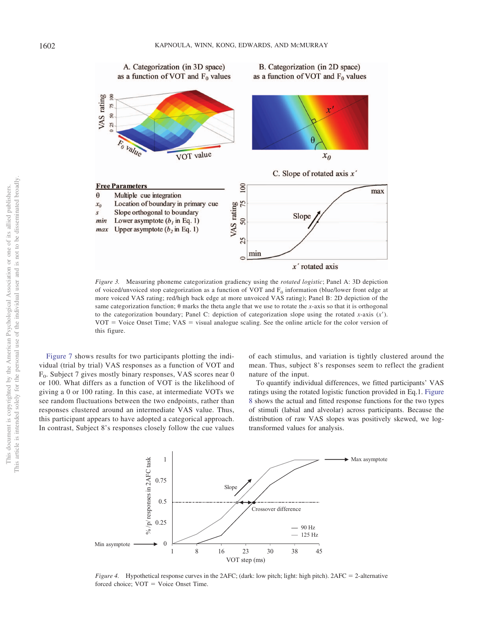

<span id="page-8-0"></span>*Figure 3.* Measuring phoneme categorization gradiency using the *rotated logistic*; Panel A: 3D depiction of voiced/unvoiced stop categorization as a function of VOT and  $F_0$  information (blue/lower front edge at more voiced VAS rating; red/high back edge at more unvoiced VAS rating); Panel B: 2D depiction of the same categorization function;  $\theta$  marks the theta angle that we use to rotate the *x*-axis so that it is orthogonal to the categorization boundary; Panel C: depiction of categorization slope using the rotated *x*-axis  $(x')$ .  $VOT = V<sub>o</sub>$  Use Onset Time;  $VAS =$  visual analogue scaling. See the online article for the color version of this figure.

[Figure 7](#page-9-2) shows results for two participants plotting the individual (trial by trial) VAS responses as a function of VOT and  $F_0$ . Subject 7 gives mostly binary responses, VAS scores near 0 or 100. What differs as a function of VOT is the likelihood of giving a 0 or 100 rating. In this case, at intermediate VOTs we see random fluctuations between the two endpoints, rather than responses clustered around an intermediate VAS value. Thus, this participant appears to have adopted a categorical approach. In contrast, Subject 8's responses closely follow the cue values of each stimulus, and variation is tightly clustered around the mean. Thus, subject 8's responses seem to reflect the gradient nature of the input.

To quantify individual differences, we fitted participants' VAS ratings using the rotated logistic function provided in Eq.1. [Figure](#page-10-0) [8](#page-10-0) shows the actual and fitted response functions for the two types of stimuli (labial and alveolar) across participants. Because the distribution of raw VAS slopes was positively skewed, we logtransformed values for analysis.



<span id="page-8-1"></span>*Figure 4.* Hypothetical response curves in the 2AFC; (dark: low pitch; light: high pitch). 2AFC = 2-alternative forced choice;  $VOT = Voice$  Onset Time.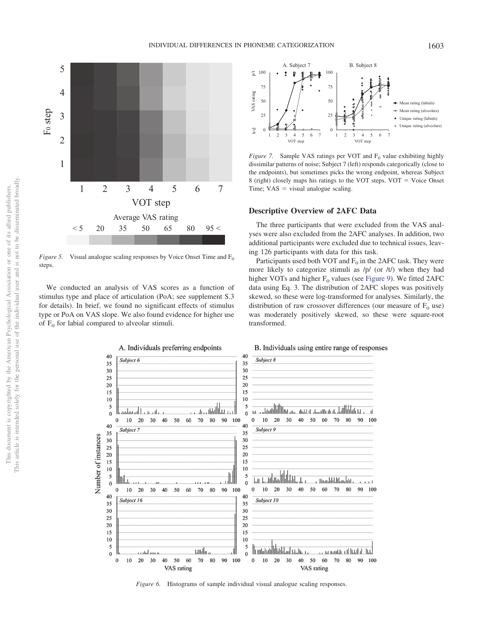

<span id="page-9-0"></span>*Figure 5.* Visual analogue scaling responses by Voice Onset Time and  $F_0$ steps.

We conducted an analysis of VAS scores as a function of stimulus type and place of articulation (PoA; see supplement S.3 for details). In brief, we found no significant effects of stimulus type or PoA on VAS slope. We also found evidence for higher use of  $F_0$  for labial compared to alveolar stimuli.



<span id="page-9-2"></span>*Figure 7.* Sample VAS ratings per VOT and  $F_0$  value exhibiting highly dissimilar patterns of noise; Subject 7 (left) responds categorically (close to the endpoints), but sometimes picks the wrong endpoint, whereas Subject 8 (right) closely maps his ratings to the VOT steps.  $VOT = Voice$  Onset Time;  $VAS =$  visual analogue scaling.

# **Descriptive Overview of 2AFC Data**

The three participants that were excluded from the VAS analyses were also excluded from the 2AFC analyses. In addition, two additional participants were excluded due to technical issues, leaving 126 participants with data for this task.

Participants used both VOT and  $F_0$  in the 2AFC task. They were more likely to categorize stimuli as  $/p/$  (or  $/t/$ ) when they had higher VOTs and higher  $F_0$  values (see [Figure 9\)](#page-11-0). We fitted 2AFC data using Eq. 3. The distribution of 2AFC slopes was positively skewed, so these were log-transformed for analyses. Similarly, the distribution of raw crossover differences (our measure of  $F_0$  use) was moderately positively skewed, so these were square-root transformed.



<span id="page-9-1"></span>*Figure 6.* Histograms of sample individual visual analogue scaling responses.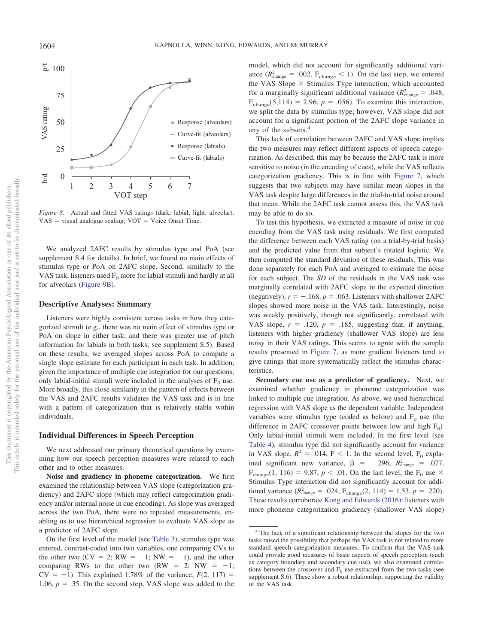

<span id="page-10-0"></span>*Figure 8.* Actual and fitted VAS ratings (dark: labial; light: alveolar).  $VAS =$  visual analogue scaling;  $VOT =$  Voice Onset Time.

We analyzed 2AFC results by stimulus type and PoA (see supplement S.4 for details). In brief, we found no main effects of stimulus type or PoA on 2AFC slope. Second, similarly to the VAS task, listeners used  $F_0$  more for labial stimuli and hardly at all for alveolars [\(Figure 9B\)](#page-11-0).

## **Descriptive Analyses: Summary**

Listeners were highly consistent across tasks in how they categorized stimuli (e.g., there was no main effect of stimulus type or PoA on slope in either task; and there was greater use of pitch information for labials in both tasks; see supplement S.5). Based on these results, we averaged slopes across PoA to compute a single slope estimate for each participant in each task. In addition, given the importance of multiple cue integration for our questions, only labial-initial stimuli were included in the analyses of  $F_0$  use. More broadly, this close similarity in the pattern of effects between the VAS and 2AFC results validates the VAS task and is in line with a pattern of categorization that is relatively stable within individuals.

## **Individual Differences in Speech Perception**

We next addressed our primary theoretical questions by examining how our speech perception measures were related to each other and to other measures.

**Noise and gradiency in phoneme categorization.** We first examined the relationship between VAS slope (categorization gradiency) and 2AFC slope (which may reflect categorization gradiency and/or internal noise in cue encoding). As slope was averaged across the two PoA, there were no repeated measurements, enabling us to use hierarchical regression to evaluate VAS slope as a predictor of 2AFC slope.

On the first level of the model (see [Table 3\)](#page-11-1), stimulus type was entered, contrast-coded into two variables, one comparing CVs to the other two (CV = 2; RW =  $-1$ ; NW =  $-1$ ), and the other comparing RWs to the other two  $(RW = 2; NW = -1;$  $CV = -1$ ). This explained 1.78% of the variance,  $F(2, 117) =$ 1.06,  $p = 0.35$ . On the second step, VAS slope was added to the model, which did not account for significantly additional variance  $(R_{\text{change}}^2 = .002, F_{\text{change}} < 1)$ . On the last step, we entered the VAS Slope  $\times$  Stimulus Type interaction, which accounted for a marginally significant additional variance  $(R_{\text{change}}^2 = .048,$  $F_{change}(5,114) = 2.96, p = .056$ . To examine this interaction, we split the data by stimulus type; however, VAS slope did not account for a significant portion of the 2AFC slope variance in any of the subsets.<sup>4</sup>

This lack of correlation between 2AFC and VAS slope implies the two measures may reflect different aspects of speech categorization. As described, this may be because the 2AFC task is more sensitive to noise (in the encoding of cues), while the VAS reflects categorization gradiency. This is in line with [Figure 7,](#page-9-2) which suggests that two subjects may have similar mean slopes in the VAS task despite large differences in the trial-to-trial noise around that mean. While the 2AFC task cannot assess this, the VAS task may be able to do so.

To test this hypothesis, we extracted a measure of noise in cue encoding from the VAS task using residuals. We first computed the difference between each VAS rating (on a trial-by-trial basis) and the predicted value from that subject's rotated logistic. We then computed the standard deviation of these residuals. This was done separately for each PoA and averaged to estimate the noise for each subject. The *SD* of the residuals in the VAS task was marginally correlated with 2AFC slope in the expected direction (negatively),  $r = -.168$ ,  $p = .063$ . Listeners with shallower 2AFC slopes showed more noise in the VAS task. Interestingly, noise was weakly positively, though not significantly, correlated with VAS slope,  $r = .120$ ,  $p = .185$ , suggesting that, if anything, listeners with higher gradiency (shallower VAS slope) are less noisy in their VAS ratings. This seems to agree with the sample results presented in [Figure 7,](#page-9-2) as more gradient listeners tend to give ratings that more systematically reflect the stimulus characteristics.

**Secondary cue use as a predictor of gradiency.** Next, we examined whether gradiency in phoneme categorization was linked to multiple cue integration. As above, we used hierarchical regression with VAS slope as the dependent variable. Independent variables were stimulus type (coded as before) and  $F_0$  use (the difference in 2AFC crossover points between low and high  $F_0$ ). Only labial-initial stimuli were included. In the first level (see [Table 4\)](#page-11-2), stimulus type did not significantly account for variance in VAS slope,  $R^2 = .014$ ,  $F < 1$ . In the second level,  $F_0$  explained significant new variance,  $\beta = -.296$ ;  $R_{change}^2 = .077$ ,  $F_{change}(1, 116) = 9.87, p < .01$ . On the last level, the  $F_0$  use  $\times$ Stimulus Type interaction did not significantly account for additional variance  $(R_{change}^2 = .024, F_{change}(2, 114) = 1.53, p = .220)$ . These results corroborate [Kong and Edwards \(2016\):](#page-16-12) listeners with more phoneme categorization gradiency (shallower VAS slope)

<sup>4</sup> The lack of a significant relationship between the slopes for the two tasks raised the possibility that perhaps the VAS task is not related to more standard speech categorization measures. To confirm that the VAS task could provide good measures of basic aspects of speech perception (such as category boundary and secondary cue use), we also examined correlations between the crossover and  $F_0$  use extracted from the two tasks (see supplement S.6). These show a robust relationship, supporting the validity of the VAS task.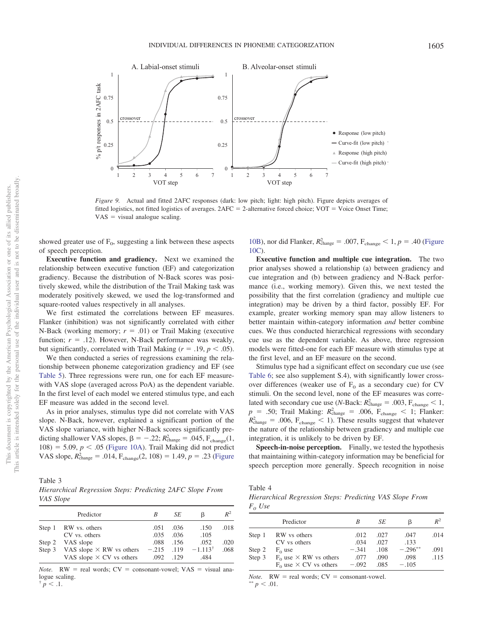

<span id="page-11-0"></span>*Figure 9.* Actual and fitted 2AFC responses (dark: low pitch; light: high pitch). Figure depicts averages of fitted logistics, not fitted logistics of averages.  $2AFC = 2$ -alternative forced choice;  $VOT =$  Voice Onset Time;  $VAS =$  visual analogue scaling.

showed greater use of  $F_0$ , suggesting a link between these aspects of speech perception.

**Executive function and gradiency.** Next we examined the relationship between executive function (EF) and categorization gradiency. Because the distribution of N-Back scores was positively skewed, while the distribution of the Trail Making task was moderately positively skewed, we used the log-transformed and square-rooted values respectively in all analyses.

We first estimated the correlations between EF measures. Flanker (inhibition) was not significantly correlated with either N-Back (working memory;  $r = .01$ ) or Trail Making (executive function;  $r = .12$ ). However, N-Back performance was weakly, but significantly, correlated with Trail Making ( $r = .19$ ,  $p < .05$ ).

We then conducted a series of regressions examining the relationship between phoneme categorization gradiency and EF (see [Table 5\)](#page-12-0). Three regressions were run, one for each EF measurewith VAS slope (averaged across PoA) as the dependent variable. In the first level of each model we entered stimulus type, and each EF measure was added in the second level.

As in prior analyses, stimulus type did not correlate with VAS slope. N-Back, however, explained a significant portion of the VAS slope variance, with higher N-Back scores significantly predicting shallower VAS slopes,  $\beta = -0.22$ ;  $R_{change}^2 = 0.045$ ,  $F_{change}(1,$  $108$ ) = 5.09,  $p < .05$  [\(Figure 10A\)](#page-12-1). Trail Making did not predict VAS slope,  $R_{change}^2 = .014$ ,  $F_{change}(2, 108) = 1.49$ ,  $p = .23$  [\(Figure](#page-12-1)

<span id="page-11-1"></span>Table 3 *Hierarchical Regression Steps: Predicting 2AFC Slope From VAS Slope*

|        | Predictor                                                                 | B                    | SE   | ß                             | $R^2$ |
|--------|---------------------------------------------------------------------------|----------------------|------|-------------------------------|-------|
| Step 1 | RW vs. others                                                             | .051                 | .036 | .150                          | .018  |
|        | CV vs. others                                                             | .035                 | .036 | .105                          |       |
| Step 2 | VAS slope                                                                 | .088                 | .156 | .052                          | .020  |
|        | Step 3 VAS slope $\times$ RW vs others<br>VAS slope $\times$ CV vs others | $-.215$ .119<br>.092 | .129 | $-1.113$ <sup>†</sup><br>.484 | .068  |
|        |                                                                           |                      |      |                               |       |

*Note.*  $RW = \text{real words}$ ;  $CV = \text{consonant-vowel}$ ;  $VAS = \text{visual ana}$ logue scaling.

 $\frac{1}{p}$  < .1.

[10B\)](#page-12-1), nor did Flanker,  $R_{change}^2 = .007$ ,  $F_{change} < 1$ ,  $p = .40$  [\(Figure](#page-12-1) [10C\)](#page-12-1).

**Executive function and multiple cue integration.** The two prior analyses showed a relationship (a) between gradiency and cue integration and (b) between gradiency and N-Back performance (i.e., working memory). Given this, we next tested the possibility that the first correlation (gradiency and multiple cue integration) may be driven by a third factor, possibly EF. For example, greater working memory span may allow listeners to better maintain within-category information *and* better combine cues. We thus conducted hierarchical regressions with secondary cue use as the dependent variable. As above, three regression models were fitted-one for each EF measure with stimulus type at the first level, and an EF measure on the second.

Stimulus type had a significant effect on secondary cue use (see [Table 6;](#page-12-2) see also supplement S.4), with significantly lower crossover differences (weaker use of  $F_0$  as a secondary cue) for CV stimuli. On the second level, none of the EF measures was correlated with secondary cue use (*N*-Back:  $R_{\text{change}}^2 = .003$ ,  $F_{\text{change}} < 1$ ,  $p = .50$ ; Trail Making:  $R_{\text{change}}^2 = .006$ ,  $F_{\text{change}} < 1$ ; Flanker:  $R_{\text{change}}^2 = .006$ ,  $F_{\text{change}} < 1$ ). These results suggest that whatever the nature of the relationship between gradiency and multiple cue integration, it is unlikely to be driven by EF.

**Speech-in-noise perception.** Finally, we tested the hypothesis that maintaining within-category information may be beneficial for speech perception more generally. Speech recognition in noise

<span id="page-11-2"></span>Table 4

*Hierarchical Regression Steps: Predicting VAS Slope From*  $F<sub>0</sub>$  *Use* 

|        | Predictor                       | В       | SE   | ß          | $R^2$ |
|--------|---------------------------------|---------|------|------------|-------|
| Step 1 | RW vs others                    | .012    | .027 | .047       | .014  |
|        | CV vs others                    | .034    | .027 | .133       |       |
| Step 2 | $F_0$ use                       | $-.341$ | .108 | $-.296***$ | .091  |
| Step 3 | $F_0$ use $\times$ RW vs others | .077    | .090 | .098       | .115  |
|        | $F_0$ use $\times$ CV vs others | $-.092$ | .085 | $-.105$    |       |

*Note.*  $RW = \text{real words}$ ;  $CV = \text{consonant-vowel}$ .

 $p < .01$ .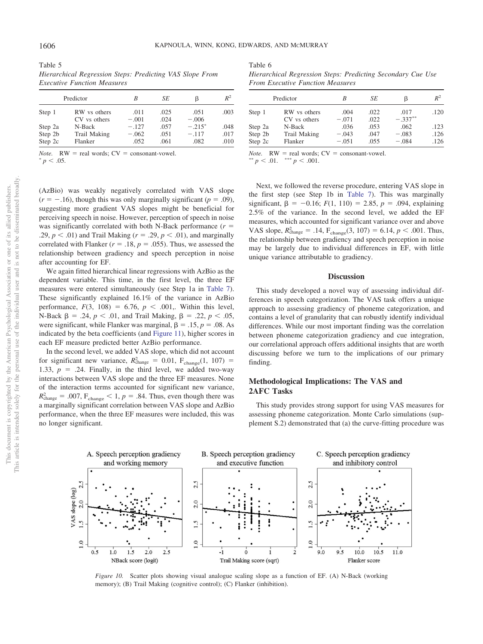<span id="page-12-0"></span>

| Table 5                                                  |  |  |
|----------------------------------------------------------|--|--|
| Hierarchical Regression Steps: Predicting VAS Slope From |  |  |
| <b>Executive Function Measures</b>                       |  |  |

|                               | Predictor                         | B                          | SE                   | ß                           | $R^2$                |
|-------------------------------|-----------------------------------|----------------------------|----------------------|-----------------------------|----------------------|
| Step 1                        | RW vs others<br>CV vs others      | .011<br>$-.001$            | .025<br>.024         | .051<br>$-.006$             | .003                 |
| Step 2a<br>Step 2b<br>Step 2c | N-Back<br>Trail Making<br>Flanker | $-.127$<br>$-.062$<br>.052 | .057<br>.051<br>.061 | $-.215*$<br>$-.117$<br>.082 | .048<br>.017<br>.010 |

*Note.*  $RW = \text{real words}$ ;  $CV = \text{consonant-vowel}$ .  $^{*}p < .05$ .

<span id="page-12-2"></span>

| Table 6                                                     |  |
|-------------------------------------------------------------|--|
| Hierarchical Regression Steps: Predicting Secondary Cue Use |  |
| <b>From Executive Function Measures</b>                     |  |

|                              | B                  | SE           | ß                  | $R^2$        |
|------------------------------|--------------------|--------------|--------------------|--------------|
| RW vs others<br>CV vs others | .004<br>$-.071$    | .022<br>.022 | .017<br>$-.337**$  | .120         |
| N-Back                       | .036               | .053         | .062               | .123         |
| Trail Making<br>Flanker      | $-.043$<br>$-.051$ | .047<br>.055 | $-.083$<br>$-.084$ | .126<br>.126 |
|                              | Predictor          |              |                    |              |

*Note.*  $RW = \text{real words}$ ;  $CV = \text{ consonant-vowel}$ .<br>\*\*  $n \leq 0.1$  \*\*\*  $n \leq 0.01$ 

 $p < .01.$ <sup>\*</sup>  $p < .001$ .

(AzBio) was weakly negatively correlated with VAS slope  $(r = -.16)$ , though this was only marginally significant ( $p = .09$ ), suggesting more gradient VAS slopes might be beneficial for perceiving speech in noise. However, perception of speech in noise was significantly correlated with both N-Back performance  $(r =$ .29,  $p < .01$ ) and Trail Making ( $r = .29$ ,  $p < .01$ ), and marginally correlated with Flanker ( $r = .18$ ,  $p = .055$ ). Thus, we assessed the relationship between gradiency and speech perception in noise after accounting for EF.

We again fitted hierarchical linear regressions with AzBio as the dependent variable. This time, in the first level, the three EF measures were entered simultaneously (see Step 1a in [Table 7\)](#page-13-0). These significantly explained 16.1% of the variance in AzBio performance,  $F(3, 108) = 6.76$ ,  $p < .001$ ,. Within this level, N-Back β = .24, *p* < .01, and Trail Making, β = .22, *p* < .05, were significant, while Flanker was marginal,  $\beta = .15$ ,  $p = .08$ . As indicated by the beta coefficients (and [Figure 11\)](#page-13-1), higher scores in each EF measure predicted better AzBio performance.

In the second level, we added VAS slope, which did not account for significant new variance,  $R_{change}^2 = 0.01$ ,  $F_{change}(1, 107) =$ 1.33,  $p = 0.24$ . Finally, in the third level, we added two-way interactions between VAS slope and the three EF measures. None of the interaction terms accounted for significant new variance,  $R_{\text{change}}^2 = .007$ ,  $F_{\text{change}} < 1$ ,  $p = .84$ . Thus, even though there was a marginally significant correlation between VAS slope and AzBio performance, when the three EF measures were included, this was no longer significant.

Next, we followed the reverse procedure, entering VAS slope in the first step (see Step 1b in [Table 7\)](#page-13-0). This was marginally significant,  $\beta = -0.16$ ;  $F(1, 110) = 2.85$ ,  $p = .094$ , explaining 2.5% of the variance. In the second level, we added the EF measures, which accounted for significant variance over and above VAS slope,  $R_{change}^2 = .14$ ,  $F_{change}(3, 107) = 6.14$ ,  $p < .001$ . Thus, the relationship between gradiency and speech perception in noise may be largely due to individual differences in EF, with little unique variance attributable to gradiency.

## **Discussion**

This study developed a novel way of assessing individual differences in speech categorization. The VAS task offers a unique approach to assessing gradiency of phoneme categorization, and contains a level of granularity that can robustly identify individual differences. While our most important finding was the correlation between phoneme categorization gradiency and cue integration, our correlational approach offers additional insights that are worth discussing before we turn to the implications of our primary finding.

# **Methodological Implications: The VAS and 2AFC Tasks**

This study provides strong support for using VAS measures for assessing phoneme categorization. Monte Carlo simulations (supplement S.2) demonstrated that (a) the curve-fitting procedure was



<span id="page-12-1"></span>*Figure 10.* Scatter plots showing visual analogue scaling slope as a function of EF. (A) N-Back (working memory); (B) Trail Making (cognitive control); (C) Flanker (inhibition).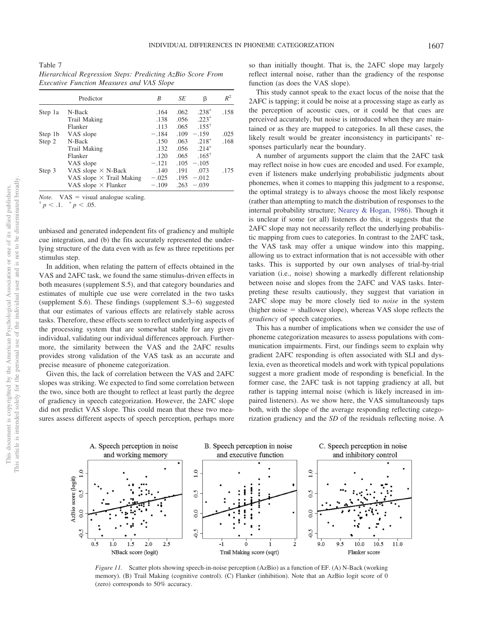<span id="page-13-0"></span>Table 7 *Hierarchical Regression Steps: Predicting AzBio Score From Executive Function Measures and VAS Slope*

|         | Predictor                       | B       | SE   | β                | $R^2$ |
|---------|---------------------------------|---------|------|------------------|-------|
| Step 1a | N-Back                          | .164    | .062 | $.238*$          | .158  |
|         | Trail Making                    | .138    | .056 | $.223*$          |       |
|         | Flanker                         | .113    | .065 | $.155^+$         |       |
| Step 1b | VAS slope                       | $-.184$ | .109 | $-.159$          | .025  |
| Step 2  | N-Back                          | .150    | .063 | $.218*$          | .168  |
|         | Trail Making                    | .132    | .056 | $.214*$          |       |
|         | Flanker                         | .120    | .065 | $.165^{\dagger}$ |       |
|         | VAS slope                       | $-.121$ | .105 | $-.105$          |       |
| Step 3  | VAS slope $\times$ N-Back       | .140    | .191 | .073             | .175  |
|         | VAS slope $\times$ Trail Making | $-.025$ | .195 | $-.012$          |       |
|         | VAS slope $\times$ Flanker      | $-.109$ | .263 | $-.039$          |       |

*Note.* VAS = visual analogue scaling.<br>
<sup>†</sup> *p* < .1. \* *p* < .05.

 $p < 0.1.$   $p < 0.05.$ 

unbiased and generated independent fits of gradiency and multiple cue integration, and (b) the fits accurately represented the underlying structure of the data even with as few as three repetitions per stimulus step.

In addition, when relating the pattern of effects obtained in the VAS and 2AFC task, we found the same stimulus-driven effects in both measures (supplement S.5), and that category boundaries and estimates of multiple cue use were correlated in the two tasks (supplement S.6). These findings (supplement  $S(3-6)$ ) suggested that our estimates of various effects are relatively stable across tasks. Therefore, these effects seem to reflect underlying aspects of the processing system that are somewhat stable for any given individual, validating our individual differences approach. Furthermore, the similarity between the VAS and the 2AFC results provides strong validation of the VAS task as an accurate and precise measure of phoneme categorization.

Given this, the lack of correlation between the VAS and 2AFC slopes was striking. We expected to find some correlation between the two, since both are thought to reflect at least partly the degree of gradiency in speech categorization. However, the 2AFC slope did not predict VAS slope. This could mean that these two measures assess different aspects of speech perception, perhaps more so than initially thought. That is, the 2AFC slope may largely reflect internal noise, rather than the gradiency of the response function (as does the VAS slope).

This study cannot speak to the exact locus of the noise that the 2AFC is tapping; it could be noise at a processing stage as early as the perception of acoustic cues, or it could be that cues are perceived accurately, but noise is introduced when they are maintained or as they are mapped to categories. In all these cases, the likely result would be greater inconsistency in participants' responses particularly near the boundary.

A number of arguments support the claim that the 2AFC task may reflect noise in how cues are encoded and used. For example, even if listeners make underlying probabilistic judgments about phonemes, when it comes to mapping this judgment to a response, the optimal strategy is to always choose the most likely response (rather than attempting to match the distribution of responses to the internal probability structure; [Nearey & Hogan, 1986\)](#page-16-34). Though it is unclear if some (or all) listeners do this, it suggests that the 2AFC slope may not necessarily reflect the underlying probabilistic mapping from cues to categories. In contrast to the 2AFC task, the VAS task may offer a unique window into this mapping, allowing us to extract information that is not accessible with other tasks. This is supported by our own analyses of trial-by-trial variation (i.e., noise) showing a markedly different relationship between noise and slopes from the 2AFC and VAS tasks. Interpreting these results cautiously, they suggest that variation in 2AFC slope may be more closely tied to *noise* in the system (higher noise = shallower slope), whereas VAS slope reflects the *gradiency* of speech categories.

This has a number of implications when we consider the use of phoneme categorization measures to assess populations with communication impairments. First, our findings seem to explain why gradient 2AFC responding is often associated with SLI and dyslexia, even as theoretical models and work with typical populations suggest a more gradient mode of responding is beneficial. In the former case, the 2AFC task is not tapping gradiency at all, but rather is tapping internal noise (which is likely increased in impaired listeners). As we show here, the VAS simultaneously taps both, with the slope of the average responding reflecting categorization gradiency and the *SD* of the residuals reflecting noise. A



<span id="page-13-1"></span>*Figure 11.* Scatter plots showing speech-in-noise perception (AzBio) as a function of EF. (A) N-Back (working memory). (B) Trail Making (cognitive control). (C) Flanker (inhibition). Note that an AzBio logit score of 0 (zero) corresponds to 50% accuracy.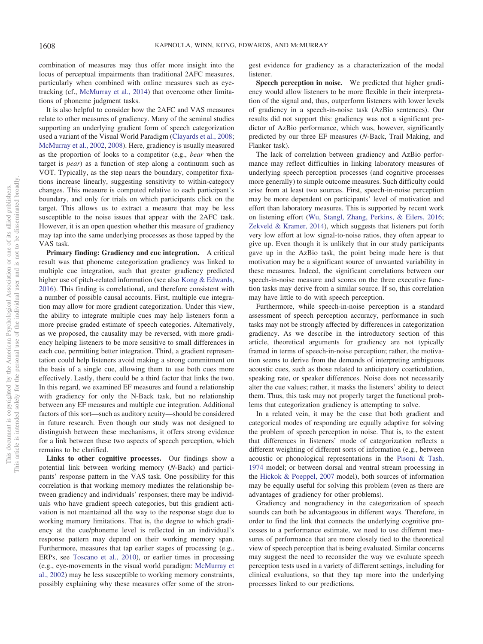combination of measures may thus offer more insight into the locus of perceptual impairments than traditional 2AFC measures, particularly when combined with online measures such as eyetracking (cf., [McMurray et al., 2014\)](#page-16-27) that overcome other limitations of phoneme judgment tasks.

It is also helpful to consider how the 2AFC and VAS measures relate to other measures of gradiency. Many of the seminal studies supporting an underlying gradient form of speech categorization used a variant of the Visual World Paradigm [\(Clayards et al., 2008;](#page-15-0) [McMurray et al., 2002,](#page-16-6) [2008\)](#page-16-24). Here, gradiency is usually measured as the proportion of looks to a competitor (e.g., *bear* when the target is *pear*) as a function of step along a continuum such as VOT. Typically, as the step nears the boundary, competitor fixations increase linearly, suggesting sensitivity to within-category changes. This measure is computed relative to each participant's boundary, and only for trials on which participants click on the target. This allows us to extract a measure that may be less susceptible to the noise issues that appear with the 2AFC task. However, it is an open question whether this measure of gradiency may tap into the same underlying processes as those tapped by the VAS task.

**Primary finding: Gradiency and cue integration.** A critical result was that phoneme categorization gradiency was linked to multiple cue integration, such that greater gradiency predicted higher use of pitch-related information (see also [Kong & Edwards,](#page-16-12) [2016\)](#page-16-12). This finding is correlational, and therefore consistent with a number of possible causal accounts. First, multiple cue integration may allow for more gradient categorization. Under this view, the ability to integrate multiple cues may help listeners form a more precise graded estimate of speech categories. Alternatively, as we proposed, the causality may be reversed, with more gradiency helping listeners to be more sensitive to small differences in each cue, permitting better integration. Third, a gradient representation could help listeners avoid making a strong commitment on the basis of a single cue, allowing them to use both cues more effectively. Lastly, there could be a third factor that links the two. In this regard, we examined EF measures and found a relationship with gradiency for only the N-Back task, but no relationship between any EF measures and multiple cue integration. Additional factors of this sort—such as auditory acuity—should be considered in future research. Even though our study was not designed to distinguish between these mechanisms, it offers strong evidence for a link between these two aspects of speech perception, which remains to be clarified.

**Links to other cognitive processes.** Our findings show a potential link between working memory (*N*-Back) and participants' response pattern in the VAS task. One possibility for this correlation is that working memory mediates the relationship between gradiency and individuals' responses; there may be individuals who have gradient speech categories, but this gradient activation is not maintained all the way to the response stage due to working memory limitations. That is, the degree to which gradiency at the cue/phoneme level is reflected in an individual's response pattern may depend on their working memory span. Furthermore, measures that tap earlier stages of processing (e.g., ERPs, see [Toscano et al., 2010\)](#page-17-2), or earlier times in processing (e.g., eye-movements in the visual world paradigm: [McMurray et](#page-16-6) [al., 2002\)](#page-16-6) may be less susceptible to working memory constraints, possibly explaining why these measures offer some of the stron-

gest evidence for gradiency as a characterization of the modal **listener** 

**Speech perception in noise.** We predicted that higher gradiency would allow listeners to be more flexible in their interpretation of the signal and, thus, outperform listeners with lower levels of gradiency in a speech-in-noise task (AzBio sentences). Our results did not support this: gradiency was not a significant predictor of AzBio performance, which was, however, significantly predicted by our three EF measures (*N*-Back, Trail Making, and Flanker task).

The lack of correlation between gradiency and AzBio performance may reflect difficulties in linking laboratory measures of underlying speech perception processes (and cognitive processes more generally) to simple outcome measures. Such difficulty could arise from at least two sources. First, speech-in-noise perception may be more dependent on participants' level of motivation and effort than laboratory measures. This is supported by recent work on listening effort [\(Wu, Stangl, Zhang, Perkins, & Eilers, 2016;](#page-17-24) [Zekveld & Kramer, 2014\)](#page-17-25), which suggests that listeners put forth very low effort at low signal-to-noise ratios, they often appear to give up. Even though it is unlikely that in our study participants gave up in the AzBio task, the point being made here is that motivation may be a significant source of unwanted variability in these measures. Indeed, the significant correlations between our speech-in-noise measure and scores on the three executive function tasks may derive from a similar source. If so, this correlation may have little to do with speech perception.

Furthermore, while speech-in-noise perception is a standard assessment of speech perception accuracy, performance in such tasks may not be strongly affected by differences in categorization gradiency. As we describe in the introductory section of this article, theoretical arguments for gradiency are not typically framed in terms of speech-in-noise perception; rather, the motivation seems to derive from the demands of interpreting ambiguous acoustic cues, such as those related to anticipatory coarticulation, speaking rate, or speaker differences. Noise does not necessarily alter the cue values; rather, it masks the listeners' ability to detect them. Thus, this task may not properly target the functional problems that categorization gradiency is attempting to solve.

In a related vein, it may be the case that both gradient and categorical modes of responding are equally adaptive for solving the problem of speech perception in noise. That is, to the extent that differences in listeners' mode of categorization reflects a different weighting of different sorts of information (e.g., between acoustic or phonological representations in the [Pisoni & Tash,](#page-16-16) [1974](#page-16-16) model; or between dorsal and ventral stream processing in the [Hickok & Poeppel, 2007](#page-15-11) model), both sources of information may be equally useful for solving this problem (even as there are advantages of gradiency for other problems).

Gradiency and nongradiency in the categorization of speech sounds can both be advantageous in different ways. Therefore, in order to find the link that connects the underlying cognitive processes to a performance estimate, we need to use different measures of performance that are more closely tied to the theoretical view of speech perception that is being evaluated. Similar concerns may suggest the need to reconsider the way we evaluate speech perception tests used in a variety of different settings, including for clinical evaluations, so that they tap more into the underlying processes linked to our predictions.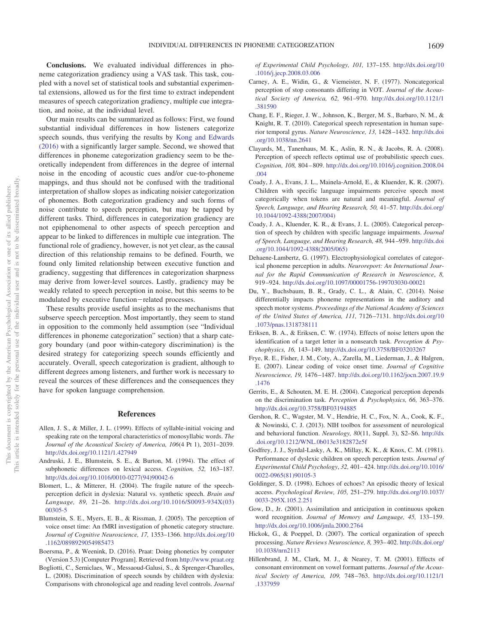**Conclusions.** We evaluated individual differences in phoneme categorization gradiency using a VAS task. This task, coupled with a novel set of statistical tools and substantial experimental extensions, allowed us for the first time to extract independent measures of speech categorization gradiency, multiple cue integration, and noise, at the individual level.

Our main results can be summarized as follows: First, we found substantial individual differences in how listeners categorize speech sounds, thus verifying the results by [Kong and Edwards](#page-16-12) [\(2016\)](#page-16-12) with a significantly larger sample. Second, we showed that differences in phoneme categorization gradiency seem to be theoretically independent from differences in the degree of internal noise in the encoding of acoustic cues and/or cue-to-phoneme mappings, and thus should not be confused with the traditional interpretation of shallow slopes as indicating noisier categorization of phonemes. Both categorization gradiency and such forms of noise contribute to speech perception, but may be tapped by different tasks. Third, differences in categorization gradiency are not epiphenomenal to other aspects of speech perception and appear to be linked to differences in multiple cue integration. The functional role of gradiency, however, is not yet clear, as the causal direction of this relationship remains to be defined. Fourth, we found only limited relationship between executive function and gradiency, suggesting that differences in categorization sharpness may derive from lower-level sources. Lastly, gradiency may be weakly related to speech perception in noise, but this seems to be modulated by executive function-related processes.

These results provide useful insights as to the mechanisms that subserve speech perception. Most importantly, they seem to stand in opposition to the commonly held assumption (see "Individual differences in phoneme categorization" section) that a sharp category boundary (and poor within-category discrimination) is the desired strategy for categorizing speech sounds efficiently and accurately. Overall, speech categorization is gradient, although to different degrees among listeners, and further work is necessary to reveal the sources of these differences and the consequences they have for spoken language comprehension.

# **References**

- <span id="page-15-18"></span>Allen, J. S., & Miller, J. L. (1999). Effects of syllable-initial voicing and speaking rate on the temporal characteristics of monosyllabic words. *The Journal of the Acoustical Society of America, 106*(4 Pt 1), 2031–2039. <http://dx.doi.org/10.1121/1.427949>
- <span id="page-15-7"></span>Andruski, J. E., Blumstein, S. E., & Burton, M. (1994). The effect of subphonetic differences on lexical access. *Cognition, 52,* 163–187. [http://dx.doi.org/10.1016/0010-0277\(94\)90042-6](http://dx.doi.org/10.1016/0010-0277%2894%2990042-6)
- <span id="page-15-15"></span>Blomert, L., & Mitterer, H. (2004). The fragile nature of the speechperception deficit in dyslexia: Natural vs. synthetic speech. *Brain and Language, 89,* 21–26. [http://dx.doi.org/10.1016/S0093-934X\(03\)](http://dx.doi.org/10.1016/S0093-934X%2803%2900305-5) [00305-5](http://dx.doi.org/10.1016/S0093-934X%2803%2900305-5)
- <span id="page-15-10"></span>Blumstein, S. E., Myers, E. B., & Rissman, J. (2005). The perception of voice onset time: An fMRI investigation of phonetic category structure. *Journal of Cognitive Neuroscience, 17,* 1353–1366. [http://dx.doi.org/10](http://dx.doi.org/10.1162/0898929054985473) [.1162/0898929054985473](http://dx.doi.org/10.1162/0898929054985473)
- <span id="page-15-19"></span>Boersma, P., & Weenink, D. (2016). Praat: Doing phonetics by computer (Version 5.3) [Computer Program]. Retrieved from <http://www.praat.org>
- <span id="page-15-17"></span>Bogliotti, C., Serniclaes, W., Messaoud-Galusi, S., & Sprenger-Charolles, L. (2008). Discrimination of speech sounds by children with dyslexia: Comparisons with chronological age and reading level controls. *Journal*

*of Experimental Child Psychology, 101,* 137–155. [http://dx.doi.org/10](http://dx.doi.org/10.1016/j.jecp.2008.03.006) [.1016/j.jecp.2008.03.006](http://dx.doi.org/10.1016/j.jecp.2008.03.006)

- <span id="page-15-4"></span>Carney, A. E., Widin, G., & Viemeister, N. F. (1977). Noncategorical perception of stop consonants differing in VOT. *Journal of the Acoustical Society of America, 62,* 961–970. [http://dx.doi.org/10.1121/1](http://dx.doi.org/10.1121/1.381590) [.381590](http://dx.doi.org/10.1121/1.381590)
- <span id="page-15-2"></span>Chang, E. F., Rieger, J. W., Johnson, K., Berger, M. S., Barbaro, N. M., & Knight, R. T. (2010). Categorical speech representation in human superior temporal gyrus. *Nature Neuroscience, 13,* 1428 –1432. [http://dx.doi](http://dx.doi.org/10.1038/nn.2641) [.org/10.1038/nn.2641](http://dx.doi.org/10.1038/nn.2641)
- <span id="page-15-0"></span>Clayards, M., Tanenhaus, M. K., Aslin, R. N., & Jacobs, R. A. (2008). Perception of speech reflects optimal use of probabilistic speech cues. *Cognition, 108,* 804 – 809. [http://dx.doi.org/10.1016/j.cognition.2008.04](http://dx.doi.org/10.1016/j.cognition.2008.04.004) [.004](http://dx.doi.org/10.1016/j.cognition.2008.04.004)
- <span id="page-15-13"></span>Coady, J. A., Evans, J. L., Mainela-Arnold, E., & Kluender, K. R. (2007). Children with specific language impairments perceive speech most categorically when tokens are natural and meaningful. *Journal of Speech, Language, and Hearing Research, 50,* 41–57. [http://dx.doi.org/](http://dx.doi.org/10.1044/1092-4388%282007/004%29) [10.1044/1092-4388\(2007/004\)](http://dx.doi.org/10.1044/1092-4388%282007/004%29)
- <span id="page-15-14"></span>Coady, J. A., Kluender, K. R., & Evans, J. L. (2005). Categorical perception of speech by children with specific language impairments. *Journal of Speech, Language, and Hearing Research, 48,* 944 –959. [http://dx.doi](http://dx.doi.org/10.1044/1092-4388%282005/065%29) [.org/10.1044/1092-4388\(2005/065\)](http://dx.doi.org/10.1044/1092-4388%282005/065%29)
- <span id="page-15-3"></span>Dehaene-Lambertz, G. (1997). Electrophysiological correlates of categorical phoneme perception in adults. *Neuroreport: An International Journal for the Rapid Communication of Research in Neuroscience*, *8,* 919 –924. <http://dx.doi.org/10.1097/00001756-199703030-00021>
- <span id="page-15-12"></span>Du, Y., Buchsbaum, B. R., Grady, C. L., & Alain, C. (2014). Noise differentially impacts phoneme representations in the auditory and speech motor systems. *Proceedings of the National Academy of Sciences of the United States of America, 111,* 7126 –7131. [http://dx.doi.org/10](http://dx.doi.org/10.1073/pnas.1318738111) [.1073/pnas.1318738111](http://dx.doi.org/10.1073/pnas.1318738111)
- <span id="page-15-21"></span>Eriksen, B. A., & Eriksen, C. W. (1974). Effects of noise letters upon the identification of a target letter in a nonsearch task. *Perception & Psychophysics, 16,* 143–149. <http://dx.doi.org/10.3758/BF03203267>
- <span id="page-15-6"></span>Frye, R. E., Fisher, J. M., Coty, A., Zarella, M., Liederman, J., & Halgren, E. (2007). Linear coding of voice onset time. *Journal of Cognitive Neuroscience, 19,* 1476 –1487. [http://dx.doi.org/10.1162/jocn.2007.19.9](http://dx.doi.org/10.1162/jocn.2007.19.9.1476) [.1476](http://dx.doi.org/10.1162/jocn.2007.19.9.1476)
- <span id="page-15-5"></span>Gerrits, E., & Schouten, M. E. H. (2004). Categorical perception depends on the discrimination task. *Perception & Psychophysics, 66,* 363–376. <http://dx.doi.org/10.3758/BF03194885>
- <span id="page-15-20"></span>Gershon, R. C., Wagster, M. V., Hendrie, H. C., Fox, N. A., Cook, K. F., & Nowinski, C. J. (2013). NIH toolbox for assessment of neurological and behavioral function. *Neurology, 80*(11, Suppl. 3), S2–S6. [http://dx](http://dx.doi.org/10.1212/WNL.0b013e3182872e5f) [.doi.org/10.1212/WNL.0b013e3182872e5f](http://dx.doi.org/10.1212/WNL.0b013e3182872e5f)
- <span id="page-15-16"></span>Godfrey, J. J., Syrdal-Lasky, A. K., Millay, K. K., & Knox, C. M. (1981). Performance of dyslexic children on speech perception tests. *Journal of Experimental Child Psychology*, *32,* 401– 424. [http://dx.doi.org/10.1016/](http://dx.doi.org/10.1016/0022-0965%2881%2990105-3) [0022-0965\(81\)90105-3](http://dx.doi.org/10.1016/0022-0965%2881%2990105-3)
- <span id="page-15-8"></span>Goldinger, S. D. (1998). Echoes of echoes? An episodic theory of lexical access. *Psychological Review, 105,* 251–279. [http://dx.doi.org/10.1037/](http://dx.doi.org/10.1037/0033-295X.105.2.251) [0033-295X.105.2.251](http://dx.doi.org/10.1037/0033-295X.105.2.251)
- <span id="page-15-9"></span>Gow, D., Jr. (2001). Assimilation and anticipation in continuous spoken word recognition. *Journal of Memory and Language, 45,* 133–159. <http://dx.doi.org/10.1006/jmla.2000.2764>
- <span id="page-15-11"></span>Hickok, G., & Poeppel, D. (2007). The cortical organization of speech processing. *Nature Reviews Neuroscience, 8,* 393– 402. [http://dx.doi.org/](http://dx.doi.org/10.1038/nrn2113) [10.1038/nrn2113](http://dx.doi.org/10.1038/nrn2113)
- <span id="page-15-1"></span>Hillenbrand, J. M., Clark, M. J., & Nearey, T. M. (2001). Effects of consonant environment on vowel formant patterns. *Journal of the Acoustical Society of America, 109,* 748 –763. [http://dx.doi.org/10.1121/1](http://dx.doi.org/10.1121/1.1337959) [.1337959](http://dx.doi.org/10.1121/1.1337959)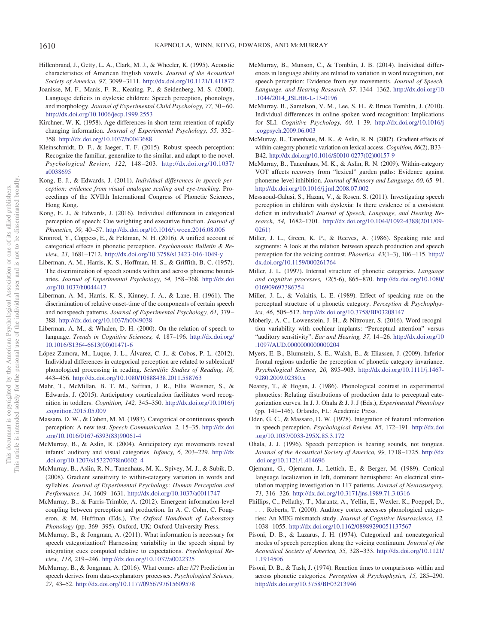- <span id="page-16-13"></span>Hillenbrand, J., Getty, L. A., Clark, M. J., & Wheeler, K. (1995). Acoustic characteristics of American English vowels. *Journal of the Acoustical Society of America, 97,* 3099 –3111. <http://dx.doi.org/10.1121/1.411872>
- <span id="page-16-0"></span>Joanisse, M. F., Manis, F. R., Keating, P., & Seidenberg, M. S. (2000). Language deficits in dyslexic children: Speech perception, phonology, and morphology. *Journal of Experimental Child Psychology, 77,* 30 – 60. <http://dx.doi.org/10.1006/jecp.1999.2553>
- <span id="page-16-33"></span>Kirchner, W. K. (1958). Age differences in short-term retention of rapidly changing information. *Journal of Experimental Psychology, 55,* 352– 358. <http://dx.doi.org/10.1037/h0043688>
- <span id="page-16-7"></span>Kleinschmidt, D. F., & Jaeger, T. F. (2015). Robust speech perception: Recognize the familiar, generalize to the similar, and adapt to the novel. *Psychological Review, 122,* 148 –203. [http://dx.doi.org/10.1037/](http://dx.doi.org/10.1037/a0038695) [a0038695](http://dx.doi.org/10.1037/a0038695)
- <span id="page-16-11"></span>Kong, E. J., & Edwards, J. (2011). *Individual differences in speech perception: evidence from visual analogue scaling and eye-tracking*. Proceedings of the XVIIth International Congress of Phonetic Sciences, Hong Kong.
- <span id="page-16-12"></span>Kong, E. J., & Edwards, J. (2016). Individual differences in categorical perception of speech: Cue weighting and executive function. *Journal of Phonetics, 59,* 40 –57. <http://dx.doi.org/10.1016/j.wocn.2016.08.006>
- <span id="page-16-21"></span>Kronrod, Y., Coppess, E., & Feldman, N. H. (2016). A unified account of categorical effects in phonetic perception. *Psychonomic Bulletin & Review, 23,* 1681–1712. <http://dx.doi.org/10.3758/s13423-016-1049-y>
- <span id="page-16-4"></span>Liberman, A. M., Harris, K. S., Hoffman, H. S., & Griffith, B. C. (1957). The discrimination of speech sounds within and across phoneme boundaries. *Journal of Experimental Psychology, 54,* 358 –368. [http://dx.doi](http://dx.doi.org/10.1037/h0044417) [.org/10.1037/h0044417](http://dx.doi.org/10.1037/h0044417)
- <span id="page-16-15"></span>Liberman, A. M., Harris, K. S., Kinney, J. A., & Lane, H. (1961). The discrimination of relative onset-time of the components of certain speech and nonspeech patterns. *Journal of Experimental Psychology, 61,* 379 – 388. <http://dx.doi.org/10.1037/h0049038>
- <span id="page-16-18"></span>Liberman, A. M., & Whalen, D. H. (2000). On the relation of speech to language. *Trends in Cognitive Sciences, 4,* 187–196. [http://dx.doi.org/](http://dx.doi.org/10.1016/S1364-6613%2800%2901471-6) [10.1016/S1364-6613\(00\)01471-6](http://dx.doi.org/10.1016/S1364-6613%2800%2901471-6)
- <span id="page-16-1"></span>López-Zamora, M., Luque, J. L., Álvarez, C. J., & Cobos, P. L. (2012). Individual differences in categorical perception are related to sublexical/ phonological processing in reading. *Scientific Studies of Reading, 16,* 443– 456. <http://dx.doi.org/10.1080/10888438.2011.588763>
- <span id="page-16-23"></span>Mahr, T., McMillan, B. T. M., Saffran, J. R., Ellis Weismer, S., & Edwards, J. (2015). Anticipatory coarticulation facilitates word recognition in toddlers. *Cognition, 142,* 345–350. [http://dx.doi.org/10.1016/j](http://dx.doi.org/10.1016/j.cognition.2015.05.009) [.cognition.2015.05.009](http://dx.doi.org/10.1016/j.cognition.2015.05.009)
- <span id="page-16-5"></span>Massaro, D. W., & Cohen, M. M. (1983). Categorical or continuous speech perception: A new test. *Speech Communication, 2,* 15–35. [http://dx.doi](http://dx.doi.org/10.1016/0167-6393%2883%2990061-4) [.org/10.1016/0167-6393\(83\)90061-4](http://dx.doi.org/10.1016/0167-6393%2883%2990061-4)
- <span id="page-16-31"></span>McMurray, B., & Aslin, R. (2004). Anticipatory eye movements reveal infants' auditory and visual categories. *Infancy, 6,* 203–229. [http://dx](http://dx.doi.org/10.1207/s15327078in0602_4) [.doi.org/10.1207/s15327078in0602\\_4](http://dx.doi.org/10.1207/s15327078in0602_4)
- <span id="page-16-24"></span>McMurray, B., Aslin, R. N., Tanenhaus, M. K., Spivey, M. J., & Subik, D. (2008). Gradient sensitivity to within-category variation in words and syllables. *Journal of Experimental Psychology: Human Perception and Performance, 34,* 1609 –1631. <http://dx.doi.org/10.1037/a0011747>
- <span id="page-16-8"></span>McMurray, B., & Farris-Trimble, A. (2012). Emergent information-level coupling between perception and production. In A. C. Cohn, C. Fougeron, & M. Huffman (Eds.), *The Oxford Handbook of Laboratory Phonology* (pp. 369 –395). Oxford, UK: Oxford University Press.
- <span id="page-16-22"></span>McMurray, B., & Jongman, A. (2011). What information is necessary for speech categorization? Harnessing variability in the speech signal by integrating cues computed relative to expectations. *Psychological Review, 118,* 219 –246. <http://dx.doi.org/10.1037/a0022325>
- <span id="page-16-2"></span>McMurray, B., & Jongman, A. (2016). What comes after /f/? Prediction in speech derives from data-explanatory processes. *Psychological Science, 27,* 43–52. <http://dx.doi.org/10.1177/0956797615609578>
- <span id="page-16-27"></span>McMurray, B., Munson, C., & Tomblin, J. B. (2014). Individual differences in language ability are related to variation in word recognition, not speech perception: Evidence from eye movements. *Journal of Speech, Language, and Hearing Research, 57,* 1344 –1362. [http://dx.doi.org/10](http://dx.doi.org/10.1044/2014_JSLHR-L-13-0196) [.1044/2014\\_JSLHR-L-13-0196](http://dx.doi.org/10.1044/2014_JSLHR-L-13-0196)
- <span id="page-16-32"></span>McMurray, B., Samelson, V. M., Lee, S. H., & Bruce Tomblin, J. (2010). Individual differences in online spoken word recognition: Implications for SLI. *Cognitive Psychology, 60,* 1–39. [http://dx.doi.org/10.1016/j](http://dx.doi.org/10.1016/j.cogpsych.2009.06.003) [.cogpsych.2009.06.003](http://dx.doi.org/10.1016/j.cogpsych.2009.06.003)
- <span id="page-16-6"></span>McMurray, B., Tanenhaus, M. K., & Aslin, R. N. (2002). Gradient effects of within-category phonetic variation on lexical access. *Cognition, 86*(2), B33– B42. [http://dx.doi.org/10.1016/S0010-0277\(02\)00157-9](http://dx.doi.org/10.1016/S0010-0277%2802%2900157-9)
- <span id="page-16-10"></span>McMurray, B., Tanenhaus, M. K., & Aslin, R. N. (2009). Within-category VOT affects recovery from "lexical" garden paths: Evidence against phoneme-level inhibition. *Journal of Memory and Language, 60,* 65–91. <http://dx.doi.org/10.1016/j.jml.2008.07.002>
- <span id="page-16-29"></span>Messaoud-Galusi, S., Hazan, V., & Rosen, S. (2011). Investigating speech perception in children with dyslexia: Is there evidence of a consistent deficit in individuals? *Journal of Speech, Language, and Hearing Research, 54,* 1682–1701. [http://dx.doi.org/10.1044/1092-4388\(2011/09-](http://dx.doi.org/10.1044/1092-4388%282011/09-0261%29) [0261\)](http://dx.doi.org/10.1044/1092-4388%282011/09-0261%29)
- <span id="page-16-14"></span>Miller, J. L., Green, K. P., & Reeves, A. (1986). Speaking rate and segments: A look at the relation between speech production and speech perception for the voicing contrast. *Phonetica, 43*(1–3), 106 –115. [http://](http://dx.doi.org/10.1159/000261764) [dx.doi.org/10.1159/000261764](http://dx.doi.org/10.1159/000261764)
- <span id="page-16-25"></span>Miller, J. L. (1997). Internal structure of phonetic categories. *Language and cognitive processes, 12*(5-6), 865– 870. [http://dx.doi.org/10.1080/](http://dx.doi.org/10.1080/016909697386754) [016909697386754](http://dx.doi.org/10.1080/016909697386754)
- <span id="page-16-30"></span>Miller, J. L., & Volaitis, L. E. (1989). Effect of speaking rate on the perceptual structure of a phonetic category. *Perception & Psychophysics, 46,* 505–512. <http://dx.doi.org/10.3758/BF03208147>
- <span id="page-16-28"></span>Moberly, A. C., Lowenstein, J. H., & Nittrouer, S. (2016). Word recognition variability with cochlear implants: "Perceptual attention" versus "auditory sensitivity". *Ear and Hearing, 37,* 14 –26. [http://dx.doi.org/10](http://dx.doi.org/10.1097/AUD.0000000000000204) [.1097/AUD.0000000000000204](http://dx.doi.org/10.1097/AUD.0000000000000204)
- <span id="page-16-20"></span>Myers, E. B., Blumstein, S. E., Walsh, E., & Eliassen, J. (2009). Inferior frontal regions underlie the perception of phonetic category invariance. *Psychological Science, 20,* 895–903. [http://dx.doi.org/10.1111/j.1467-](http://dx.doi.org/10.1111/j.1467-9280.2009.02380.x) [9280.2009.02380.x](http://dx.doi.org/10.1111/j.1467-9280.2009.02380.x)
- <span id="page-16-34"></span>Nearey, T., & Hogan, J. (1986). Phonological contrast in experimental phonetics: Relating distributions of production data to perceptual categorization curves. In J. J. Ohala & J. J. J (Eds.), *Experimental Phonology* (pp. 141–146). Orlando, FL: Academic Press.
- <span id="page-16-9"></span>Oden, G. C., & Massaro, D. W. (1978). Integration of featural information in speech perception. *Psychological Review, 85,* 172–191. [http://dx.doi](http://dx.doi.org/10.1037/0033-295X.85.3.172) [.org/10.1037/0033-295X.85.3.172](http://dx.doi.org/10.1037/0033-295X.85.3.172)
- <span id="page-16-3"></span>Ohala, J. J. (1996). Speech perception is hearing sounds, not tongues. *Journal of the Acoustical Society of America, 99,* 1718 –1725. [http://dx](http://dx.doi.org/10.1121/1.414696) [.doi.org/10.1121/1.414696](http://dx.doi.org/10.1121/1.414696)
- <span id="page-16-26"></span>Ojemann, G., Ojemann, J., Lettich, E., & Berger, M. (1989). Cortical language localization in left, dominant hemisphere: An electrical stimulation mapping investigation in 117 patients. *Journal of Neurosurgery, 71,* 316 –326. <http://dx.doi.org/10.3171/jns.1989.71.3.0316>
- <span id="page-16-17"></span>Phillips, C., Pellathy, T., Marantz, A., Yellin, E., Wexler, K., Poeppel, D., . . . Roberts, T. (2000). Auditory cortex accesses phonological categories: An MEG mismatch study. *Journal of Cognitive Neuroscience, 12,* 1038 –1055. <http://dx.doi.org/10.1162/08989290051137567>
- <span id="page-16-19"></span>Pisoni, D. B., & Lazarus, J. H. (1974). Categorical and noncategorical modes of speech perception along the voicing continuum. *Journal of the Acoustical Society of America, 55,* 328 –333. [http://dx.doi.org/10.1121/](http://dx.doi.org/10.1121/1.1914506) [1.1914506](http://dx.doi.org/10.1121/1.1914506)
- <span id="page-16-16"></span>Pisoni, D. B., & Tash, J. (1974). Reaction times to comparisons within and across phonetic categories. *Perception & Psychophysics, 15,* 285–290. <http://dx.doi.org/10.3758/BF03213946>